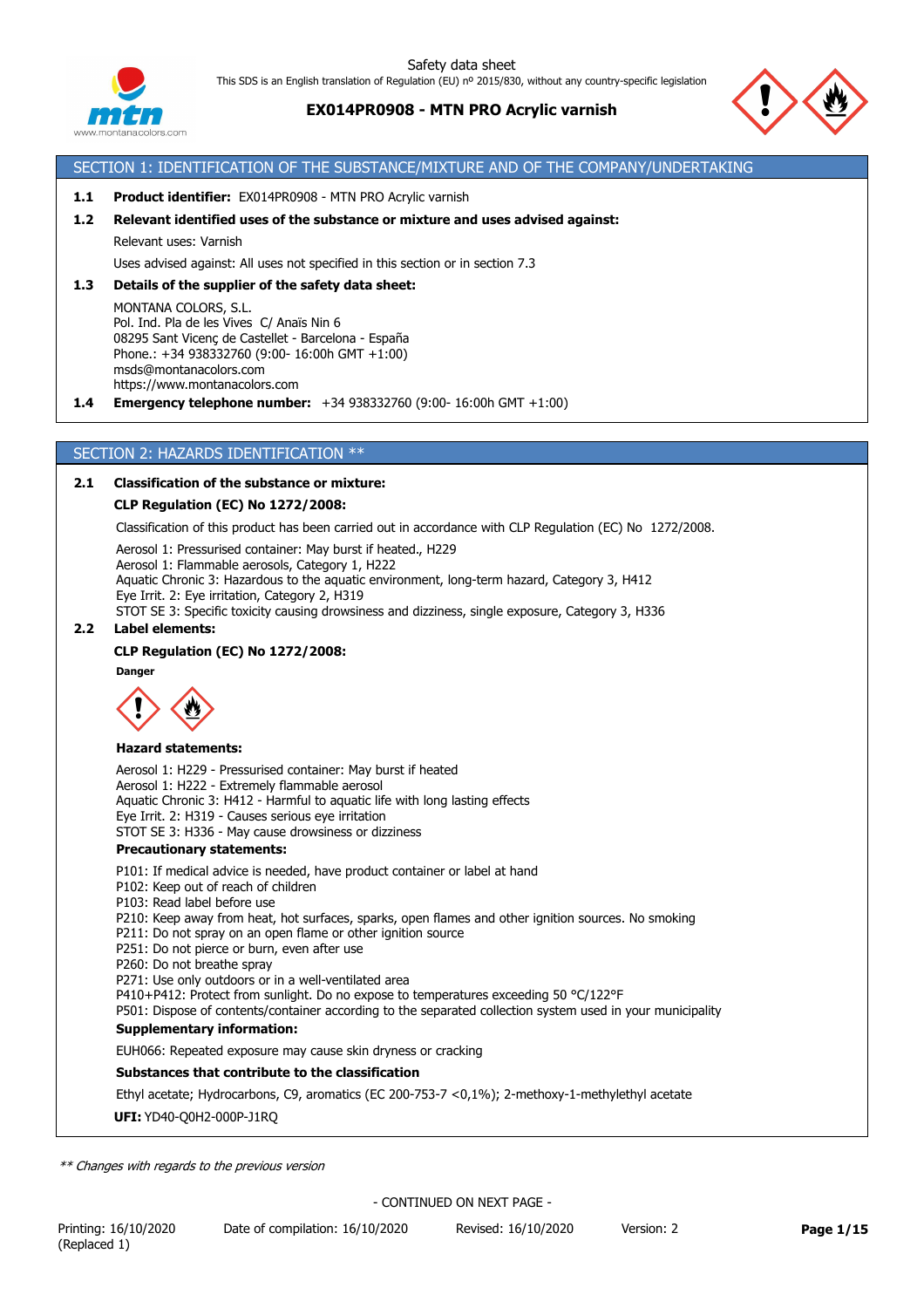

# **EX014PR0908 - MTN PRO Acrylic varnish**



### SECTION 1: IDENTIFICATION OF THE SUBSTANCE/MIXTURE AND OF THE COMPANY/UNDERTAKING

#### **1.1 Product identifier:** EX014PR0908 - MTN PRO Acrylic varnish

#### **1.2 Relevant identified uses of the substance or mixture and uses advised against:**

Relevant uses: Varnish

Uses advised against: All uses not specified in this section or in section 7.3

#### **1.3 Details of the supplier of the safety data sheet:**

MONTANA COLORS, S.L. Pol. Ind. Pla de les Vives C/ Anaïs Nin 6 08295 Sant Vicenç de Castellet - Barcelona - España Phone.: +34 938332760 (9:00- 16:00h GMT +1:00) msds@montanacolors.com https://www.montanacolors.com

**1.4 Emergency telephone number:** +34 938332760 (9:00- 16:00h GMT +1:00)

### SECTION 2: HAZARDS IDENTIFICATION \*\*

### **2.1 Classification of the substance or mixture:**

#### **CLP Regulation (EC) No 1272/2008:**

Classification of this product has been carried out in accordance with CLP Regulation (EC) No 1272/2008.

Aerosol 1: Pressurised container: May burst if heated., H229 Aerosol 1: Flammable aerosols, Category 1, H222 Aquatic Chronic 3: Hazardous to the aquatic environment, long-term hazard, Category 3, H412 Eye Irrit. 2: Eye irritation, Category 2, H319 STOT SE 3: Specific toxicity causing drowsiness and dizziness, single exposure, Category 3, H336

### **2.2 Label elements:**

#### **CLP Regulation (EC) No 1272/2008:**

**Danger**



#### **Hazard statements:**

Aerosol 1: H229 - Pressurised container: May burst if heated Aerosol 1: H222 - Extremely flammable aerosol Aquatic Chronic 3: H412 - Harmful to aquatic life with long lasting effects Eye Irrit. 2: H319 - Causes serious eye irritation STOT SE 3: H336 - May cause drowsiness or dizziness

#### **Precautionary statements:**

P101: If medical advice is needed, have product container or label at hand

P102: Keep out of reach of children

- P103: Read label before use
- P210: Keep away from heat, hot surfaces, sparks, open flames and other ignition sources. No smoking
- P211: Do not spray on an open flame or other ignition source
- P251: Do not pierce or burn, even after use
- P260: Do not breathe spray

P271: Use only outdoors or in a well-ventilated area

P410+P412: Protect from sunlight. Do no expose to temperatures exceeding 50 °C/122°F

P501: Dispose of contents/container according to the separated collection system used in your municipality

### **Supplementary information:**

EUH066: Repeated exposure may cause skin dryness or cracking

### **Substances that contribute to the classification**

Ethyl acetate; Hydrocarbons, C9, aromatics (EC 200-753-7 <0,1%); 2-methoxy-1-methylethyl acetate

### **UFI:** YD40-Q0H2-000P-J1RQ

*\*\* Changes with regards to the previous version*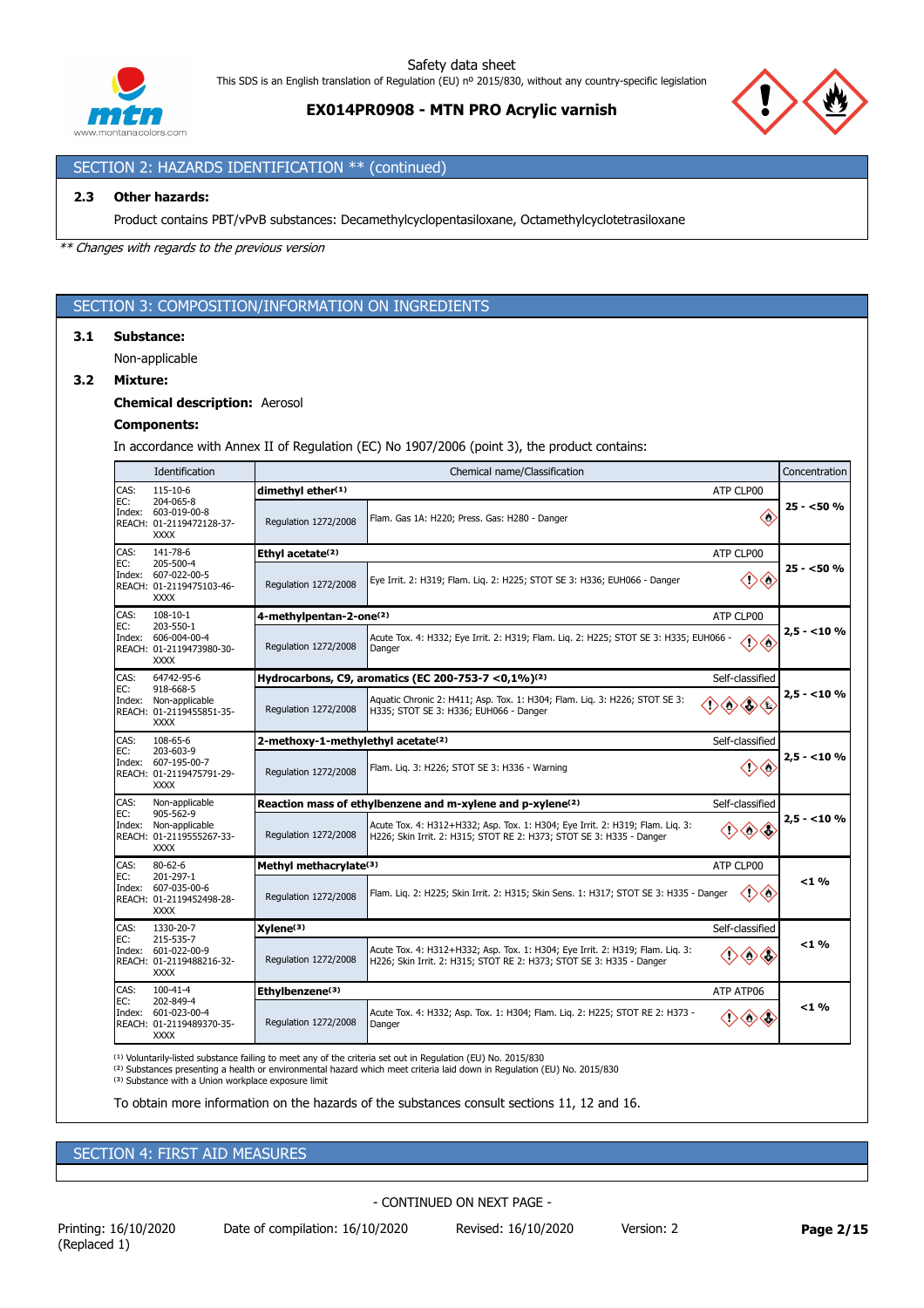

**EX014PR0908 - MTN PRO Acrylic varnish**



# SECTION 2: HAZARDS IDENTIFICATION \*\* (continued)

### **2.3 Other hazards:**

Product contains PBT/vPvB substances: Decamethylcyclopentasiloxane, Octamethylcyclotetrasiloxane

*\*\* Changes with regards to the previous version*

### SECTION 3: COMPOSITION/INFORMATION ON INGREDIENTS

#### **3.1 Substance:**

Non-applicable

### **3.2 Mixture:**

### **Chemical description:** Aerosol

#### **Components:**

In accordance with Annex II of Regulation (EC) No 1907/2006 (point 3), the product contains:

|             | Identification                                                                                  | Concentration<br>Chemical name/Classification  |                                                                                                                                                             |             |  |
|-------------|-------------------------------------------------------------------------------------------------|------------------------------------------------|-------------------------------------------------------------------------------------------------------------------------------------------------------------|-------------|--|
| CAS:        | 115-10-6<br>204-065-8                                                                           | dimethyl ether(1)                              | ATP CLP00                                                                                                                                                   |             |  |
| EC:         | Index: 603-019-00-8<br>REACH: 01-2119472128-37-<br><b>XXXX</b>                                  | Regulation 1272/2008                           | $\Leftrightarrow$<br>Flam. Gas 1A: H220; Press. Gas: H280 - Danger                                                                                          | 25 - <50 %  |  |
| CAS:<br>EC: | 141-78-6                                                                                        | Ethyl acetate <sup>(2)</sup>                   | ATP CLP00                                                                                                                                                   |             |  |
|             | 205-500-4<br>Index: 607-022-00-5<br>REACH: 01-2119475103-46-<br><b>XXXX</b>                     | Regulation 1272/2008                           | Eye Irrit. 2: H319; Flam. Liq. 2: H225; STOT SE 3: H336; EUH066 - Danger<br>O)                                                                              | 25 - <50 %  |  |
| CAS:        | $108 - 10 - 1$                                                                                  | 4-methylpentan-2-one(2)                        | ATP CLP00                                                                                                                                                   |             |  |
| EC:         | 203-550-1<br>Index: 606-004-00-4<br>REACH: 01-2119473980-30-<br><b>XXXX</b>                     | Regulation 1272/2008                           | Acute Tox. 4: H332; Eye Irrit. 2: H319; Flam. Liq. 2: H225; STOT SE 3: H335; EUH066 -<br>$\Leftrightarrow$<br>$\left\langle {}\right\rangle$<br>Danger      | $2.5 - 10%$ |  |
| CAS:        | 64742-95-6                                                                                      |                                                | Hydrocarbons, C9, aromatics (EC 200-753-7 < 0,1%) <sup>(2)</sup><br>Self-classified                                                                         |             |  |
| EC:         | 918-668-5<br>Index: Non-applicable<br>REACH: 01-2119455851-35-<br><b>XXXX</b>                   | Regulation 1272/2008                           | Aquatic Chronic 2: H411; Asp. Tox. 1: H304; Flam. Lig. 3: H226; STOT SE 3:<br>$\Leftrightarrow$<br>H335; STOT SE 3: H336; EUH066 - Danger                   | $2.5 - 10%$ |  |
| CAS:        | 108-65-6<br>203-603-9<br>Index: 607-195-00-7<br>REACH: 01-2119475791-29-<br><b>XXXX</b>         | 2-methoxy-1-methylethyl acetate <sup>(2)</sup> | Self-classified                                                                                                                                             |             |  |
| EC:         |                                                                                                 | Regulation 1272/2008                           | 〈'〉<br>Flam. Lig. 3: H226; STOT SE 3: H336 - Warning                                                                                                        | $2.5 - 10%$ |  |
| CAS:        | Non-applicable<br>905-562-9<br>Index: Non-applicable<br>REACH: 01-2119555267-33-<br><b>XXXX</b> |                                                | Reaction mass of ethylbenzene and m-xylene and p-xylene <sup>(2)</sup><br>Self-classified                                                                   |             |  |
| EC:         |                                                                                                 | Regulation 1272/2008                           | Acute Tox. 4: H312+H332; Asp. Tox. 1: H304; Eye Irrit. 2: H319; Flam. Lig. 3:<br>◇◇<br>H226; Skin Irrit. 2: H315; STOT RE 2: H373; STOT SE 3: H335 - Danger | $2.5 - 10%$ |  |
| CAS:        | $80 - 62 - 6$                                                                                   | Methyl methacrylate(3)                         | ATP CLP00                                                                                                                                                   |             |  |
| EC:         | 201-297-1<br>Index: 607-035-00-6<br>REACH: 01-2119452498-28-<br><b>XXXX</b>                     | Regulation 1272/2008                           | $\langle \rangle$<br>Flam. Liq. 2: H225; Skin Irrit. 2: H315; Skin Sens. 1: H317; STOT SE 3: H335 - Danger                                                  | $<$ 1 %     |  |
| CAS:        | 1330-20-7                                                                                       | Xvlene <sup>(3)</sup>                          | Self-classified                                                                                                                                             |             |  |
| EC:         | 215-535-7<br>Index: 601-022-00-9<br>REACH: 01-2119488216-32-<br><b>XXXX</b>                     | Regulation 1272/2008                           | Acute Tox. 4: H312+H332; Asp. Tox. 1: H304; Eye Irrit. 2: H319; Flam. Lig. 3:<br>◇<br>H226; Skin Irrit. 2: H315; STOT RE 2: H373; STOT SE 3: H335 - Danger  | $<$ 1 %     |  |
| CAS:        | $100 - 41 - 4$<br>202-849-4                                                                     | Ethylbenzene(3)                                | ATP ATP06                                                                                                                                                   |             |  |
| EC:         | Index: 601-023-00-4<br>REACH: 01-2119489370-35-<br><b>XXXX</b>                                  | Regulation 1272/2008                           | Acute Tox. 4: H332; Asp. Tox. 1: H304; Flam. Lig. 2: H225; STOT RE 2: H373 -<br>◇◇<br>Danger                                                                | $<$ 1 %     |  |

<sup>(1)</sup> Voluntarily-listed substance failing to meet any of the criteria set out in Regulation (EU) No. 2015/830<br><sup>(2)</sup> Substances presenting a health or environmental hazard which meet criteria laid down in Regulation (EU) N

(3) Substance with a Union workplace exposure limit

To obtain more information on the hazards of the substances consult sections 11, 12 and 16.

# SECTION 4: FIRST AID MEASURES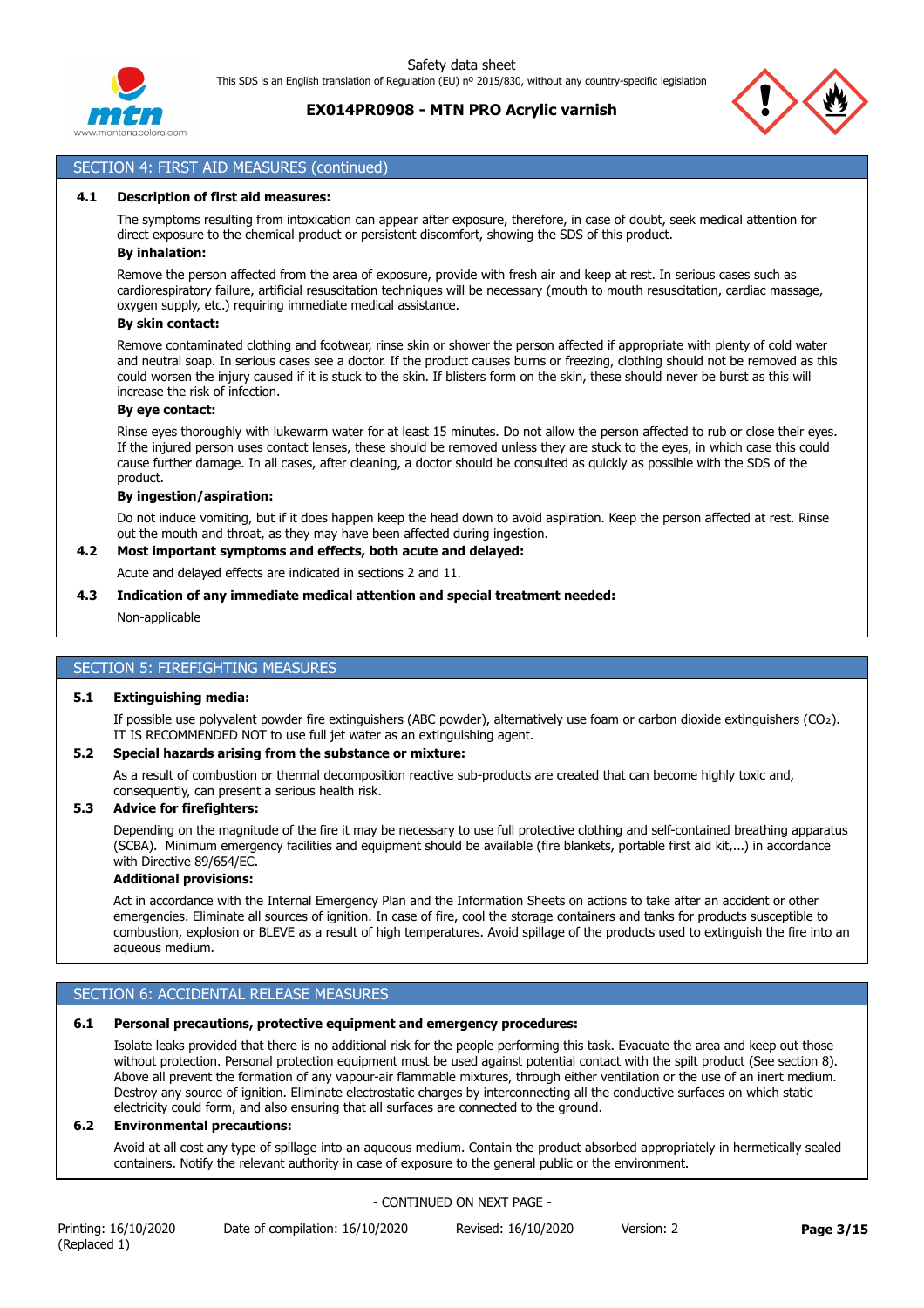

# **EX014PR0908 - MTN PRO Acrylic varnish**



## SECTION 4: FIRST AID MEASURES (continued)

#### **4.1 Description of first aid measures:**

The symptoms resulting from intoxication can appear after exposure, therefore, in case of doubt, seek medical attention for direct exposure to the chemical product or persistent discomfort, showing the SDS of this product. **By inhalation:**

Remove the person affected from the area of exposure, provide with fresh air and keep at rest. In serious cases such as cardiorespiratory failure, artificial resuscitation techniques will be necessary (mouth to mouth resuscitation, cardiac massage, oxygen supply, etc.) requiring immediate medical assistance.

#### **By skin contact:**

Remove contaminated clothing and footwear, rinse skin or shower the person affected if appropriate with plenty of cold water and neutral soap. In serious cases see a doctor. If the product causes burns or freezing, clothing should not be removed as this could worsen the injury caused if it is stuck to the skin. If blisters form on the skin, these should never be burst as this will increase the risk of infection.

### **By eye contact:**

Rinse eyes thoroughly with lukewarm water for at least 15 minutes. Do not allow the person affected to rub or close their eyes. If the injured person uses contact lenses, these should be removed unless they are stuck to the eyes, in which case this could cause further damage. In all cases, after cleaning, a doctor should be consulted as quickly as possible with the SDS of the product.

#### **By ingestion/aspiration:**

Do not induce vomiting, but if it does happen keep the head down to avoid aspiration. Keep the person affected at rest. Rinse out the mouth and throat, as they may have been affected during ingestion.

## **4.2 Most important symptoms and effects, both acute and delayed:**

Acute and delayed effects are indicated in sections 2 and 11.

#### **4.3 Indication of any immediate medical attention and special treatment needed:**

Non-applicable

### SECTION 5: FIREFIGHTING MEASURES

#### **5.1 Extinguishing media:**

If possible use polyvalent powder fire extinguishers (ABC powder), alternatively use foam or carbon dioxide extinguishers (CO₂). IT IS RECOMMENDED NOT to use full jet water as an extinguishing agent.

#### **5.2 Special hazards arising from the substance or mixture:**

As a result of combustion or thermal decomposition reactive sub-products are created that can become highly toxic and, consequently, can present a serious health risk.

### **5.3 Advice for firefighters:**

Depending on the magnitude of the fire it may be necessary to use full protective clothing and self-contained breathing apparatus (SCBA). Minimum emergency facilities and equipment should be available (fire blankets, portable first aid kit,...) in accordance with Directive 89/654/EC.

#### **Additional provisions:**

Act in accordance with the Internal Emergency Plan and the Information Sheets on actions to take after an accident or other emergencies. Eliminate all sources of ignition. In case of fire, cool the storage containers and tanks for products susceptible to combustion, explosion or BLEVE as a result of high temperatures. Avoid spillage of the products used to extinguish the fire into an aqueous medium.

## SECTION 6: ACCIDENTAL RELEASE MEASURES

#### **6.1 Personal precautions, protective equipment and emergency procedures:**

Isolate leaks provided that there is no additional risk for the people performing this task. Evacuate the area and keep out those without protection. Personal protection equipment must be used against potential contact with the spilt product (See section 8). Above all prevent the formation of any vapour-air flammable mixtures, through either ventilation or the use of an inert medium. Destroy any source of ignition. Eliminate electrostatic charges by interconnecting all the conductive surfaces on which static electricity could form, and also ensuring that all surfaces are connected to the ground.

#### **6.2 Environmental precautions:**

Avoid at all cost any type of spillage into an aqueous medium. Contain the product absorbed appropriately in hermetically sealed containers. Notify the relevant authority in case of exposure to the general public or the environment.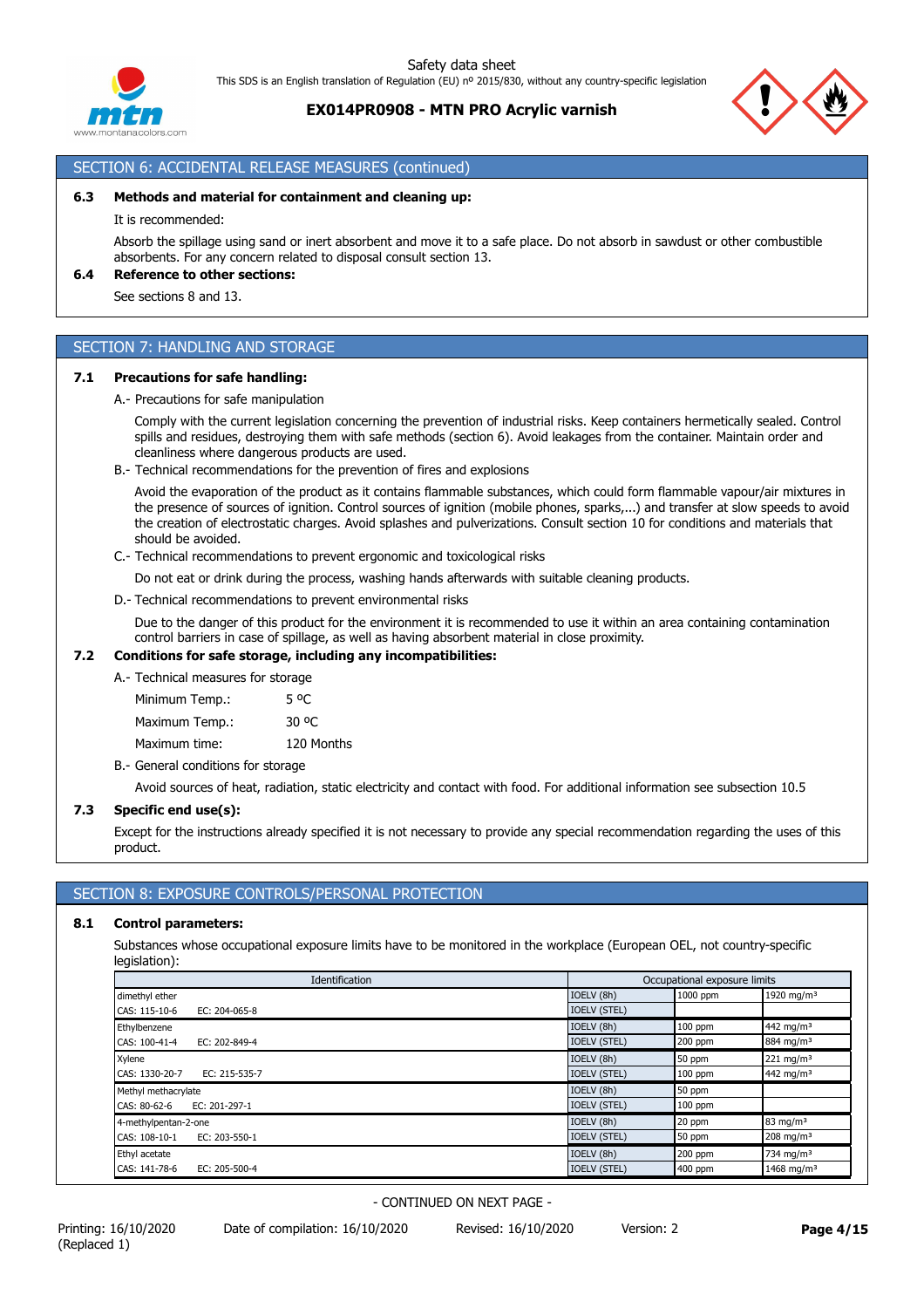

## **EX014PR0908 - MTN PRO Acrylic varnish**

# SECTION 6: ACCIDENTAL RELEASE MEASURES (continued)

#### **6.3 Methods and material for containment and cleaning up:**

It is recommended:

Absorb the spillage using sand or inert absorbent and move it to a safe place. Do not absorb in sawdust or other combustible absorbents. For any concern related to disposal consult section 13.

## **6.4 Reference to other sections:**

See sections 8 and 13.

## SECTION 7: HANDLING AND STORAGE

#### **7.1 Precautions for safe handling:**

A.- Precautions for safe manipulation

Comply with the current legislation concerning the prevention of industrial risks. Keep containers hermetically sealed. Control spills and residues, destroying them with safe methods (section 6). Avoid leakages from the container. Maintain order and cleanliness where dangerous products are used.

B.- Technical recommendations for the prevention of fires and explosions

Avoid the evaporation of the product as it contains flammable substances, which could form flammable vapour/air mixtures in the presence of sources of ignition. Control sources of ignition (mobile phones, sparks,...) and transfer at slow speeds to avoid the creation of electrostatic charges. Avoid splashes and pulverizations. Consult section 10 for conditions and materials that should be avoided.

C.- Technical recommendations to prevent ergonomic and toxicological risks

Do not eat or drink during the process, washing hands afterwards with suitable cleaning products.

D.- Technical recommendations to prevent environmental risks

Due to the danger of this product for the environment it is recommended to use it within an area containing contamination control barriers in case of spillage, as well as having absorbent material in close proximity.

### **7.2 Conditions for safe storage, including any incompatibilities:**

A.- Technical measures for storage

Minimum Temp.: 5 °C Maximum Temp.: 30 °C Maximum time: 120 Months

B.- General conditions for storage

Avoid sources of heat, radiation, static electricity and contact with food. For additional information see subsection 10.5

#### **7.3 Specific end use(s):**

Except for the instructions already specified it is not necessary to provide any special recommendation regarding the uses of this product.

# SECTION 8: EXPOSURE CONTROLS/PERSONAL PROTECTION

#### **8.1 Control parameters:**

Substances whose occupational exposure limits have to be monitored in the workplace (European OEL, not country-specific legislation):

| Identification                  |                     | Occupational exposure limits |                         |
|---------------------------------|---------------------|------------------------------|-------------------------|
| dimethyl ether                  | IOELV (8h)          | 1000 ppm                     | 1920 mg/m <sup>3</sup>  |
| CAS: 115-10-6<br>EC: 204-065-8  | <b>IOELV (STEL)</b> |                              |                         |
| Ethylbenzene                    | IOELV (8h)          | $100$ ppm                    | 442 mg/m <sup>3</sup>   |
| CAS: 100-41-4<br>EC: 202-849-4  | <b>IOELV (STEL)</b> | $200$ ppm                    | 884 mg/m <sup>3</sup>   |
| Xylene                          | IOELV (8h)          | $150$ ppm                    | $221$ mg/m <sup>3</sup> |
| CAS: 1330-20-7<br>EC: 215-535-7 | <b>IOELV (STEL)</b> | 100 ppm                      | 442 mg/m <sup>3</sup>   |
| Methyl methacrylate             | IOELV (8h)          | 50 ppm                       |                         |
| CAS: 80-62-6<br>EC: 201-297-1   | <b>IOELV (STEL)</b> | $100$ ppm                    |                         |
| 4-methylpentan-2-one            | IOELV (8h)          | 20 ppm                       | $83 \text{ mg/m}^3$     |
| CAS: 108-10-1<br>EC: 203-550-1  | <b>IOELV (STEL)</b> | 50 ppm                       | $208$ mg/m <sup>3</sup> |
| Ethyl acetate                   | IOELV (8h)          | 200 ppm                      | 734 mg/m <sup>3</sup>   |
| CAS: 141-78-6<br>EC: 205-500-4  | <b>IOELV (STEL)</b> | 400 ppm                      | 1468 mg/m <sup>3</sup>  |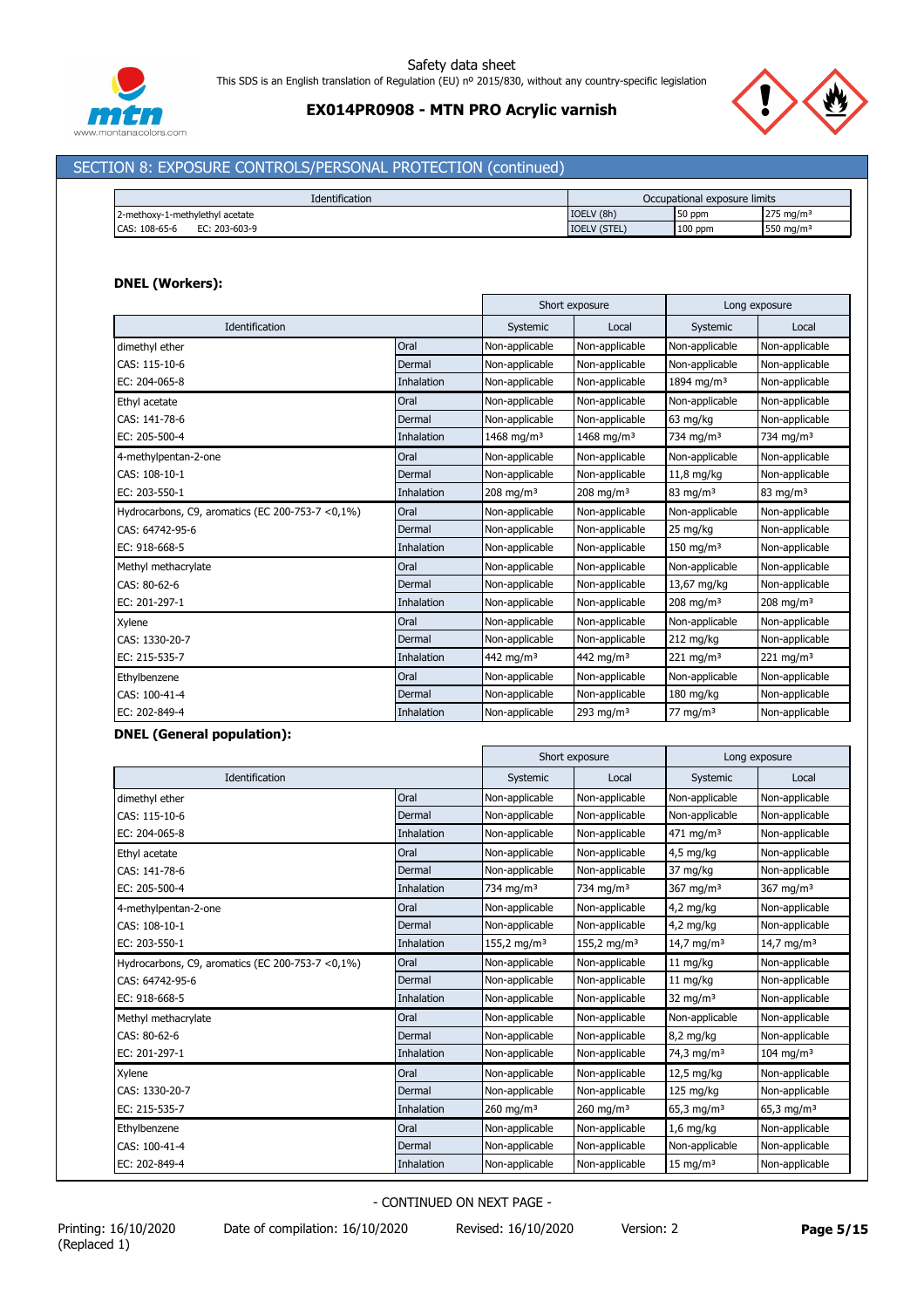



# SECTION 8: EXPOSURE CONTROLS/PERSONAL PROTECTION (continued)

| <b>Identification</b>           |                     | Occupational exposure limits |                       |
|---------------------------------|---------------------|------------------------------|-----------------------|
| 2-methoxy-1-methylethyl acetate | IOELV (8h)          | 50 ppm                       | $275 \text{ ma/m}^3$  |
| CAS: 108-65-6<br>EC: 203-603-9  | <b>IOELV (STEL)</b> | $100$ ppm                    | 550 mg/m <sup>3</sup> |

## **DNEL (Workers):**

|                                                   |                   | Short exposure          |                        | Long exposure           |                       |
|---------------------------------------------------|-------------------|-------------------------|------------------------|-------------------------|-----------------------|
| Identification                                    |                   | Systemic                | Local                  | Systemic                | Local                 |
| dimethyl ether                                    | Oral              | Non-applicable          | Non-applicable         | Non-applicable          | Non-applicable        |
| CAS: 115-10-6                                     | Dermal            | Non-applicable          | Non-applicable         | Non-applicable          | Non-applicable        |
| EC: 204-065-8                                     | <b>Inhalation</b> | Non-applicable          | Non-applicable         | 1894 mg/m <sup>3</sup>  | Non-applicable        |
| Ethyl acetate                                     | Oral              | Non-applicable          | Non-applicable         | Non-applicable          | Non-applicable        |
| CAS: 141-78-6                                     | Dermal            | Non-applicable          | Non-applicable         | 63 mg/kg                | Non-applicable        |
| EC: 205-500-4                                     | <b>Inhalation</b> | 1468 mg/m <sup>3</sup>  | 1468 mg/m <sup>3</sup> | 734 mg/m <sup>3</sup>   | 734 mg/m <sup>3</sup> |
| 4-methylpentan-2-one                              | Oral              | Non-applicable          | Non-applicable         | Non-applicable          | Non-applicable        |
| CAS: 108-10-1                                     | Dermal            | Non-applicable          | Non-applicable         | $11,8$ mg/kg            | Non-applicable        |
| EC: 203-550-1                                     | <b>Inhalation</b> | $208$ mg/m <sup>3</sup> | $208 \text{ mg/m}^3$   | $83 \text{ mg/m}^3$     | $83 \text{ mg/m}^3$   |
| Hydrocarbons, C9, aromatics (EC 200-753-7 < 0,1%) | Oral              | Non-applicable          | Non-applicable         | Non-applicable          | Non-applicable        |
| CAS: 64742-95-6                                   | Dermal            | Non-applicable          | Non-applicable         | 25 mg/kg                | Non-applicable        |
| EC: 918-668-5                                     | <b>Inhalation</b> | Non-applicable          | Non-applicable         | $150$ mg/m <sup>3</sup> | Non-applicable        |
| Methyl methacrylate                               | Oral              | Non-applicable          | Non-applicable         | Non-applicable          | Non-applicable        |
| CAS: 80-62-6                                      | Dermal            | Non-applicable          | Non-applicable         | 13,67 mg/kg             | Non-applicable        |
| EC: 201-297-1                                     | Inhalation        | Non-applicable          | Non-applicable         | $208$ mg/m <sup>3</sup> | 208 mg/m $3$          |
| Xylene                                            | Oral              | Non-applicable          | Non-applicable         | Non-applicable          | Non-applicable        |
| CAS: 1330-20-7                                    | Dermal            | Non-applicable          | Non-applicable         | $212$ mg/kg             | Non-applicable        |
| EC: 215-535-7                                     | Inhalation        | 442 mg/m $3$            | 442 mg/m $3$           | $221$ mg/m <sup>3</sup> | 221 mg/m <sup>3</sup> |
| Ethylbenzene                                      | Oral              | Non-applicable          | Non-applicable         | Non-applicable          | Non-applicable        |
| CAS: 100-41-4                                     | Dermal            | Non-applicable          | Non-applicable         | 180 mg/kg               | Non-applicable        |
| EC: 202-849-4                                     | Inhalation        | Non-applicable          | 293 mg/m $3$           | $77 \text{ mg/m}^3$     | Non-applicable        |

### **DNEL (General population):**

|                                                       |            | Short exposure          |                         | Long exposure          |                          |
|-------------------------------------------------------|------------|-------------------------|-------------------------|------------------------|--------------------------|
| Identification                                        |            | Systemic                | Local                   | Systemic               | Local                    |
| dimethyl ether                                        | Oral       | Non-applicable          | Non-applicable          | Non-applicable         | Non-applicable           |
| CAS: 115-10-6                                         | Dermal     | Non-applicable          | Non-applicable          | Non-applicable         | Non-applicable           |
| EC: 204-065-8                                         | Inhalation | Non-applicable          | Non-applicable          | $471 \text{ mg/m}^3$   | Non-applicable           |
| Ethyl acetate                                         | Oral       | Non-applicable          | Non-applicable          | 4,5 mg/kg              | Non-applicable           |
| CAS: 141-78-6                                         | Dermal     | Non-applicable          | Non-applicable          | 37 mg/kg               | Non-applicable           |
| EC: 205-500-4                                         | Inhalation | 734 mg/m <sup>3</sup>   | 734 mg/m <sup>3</sup>   | 367 mg/m $3$           | 367 mg/m $3$             |
| 4-methylpentan-2-one                                  | Oral       | Non-applicable          | Non-applicable          | $4,2$ mg/kg            | Non-applicable           |
| CAS: 108-10-1                                         | Dermal     | Non-applicable          | Non-applicable          | $4,2$ mg/kg            | Non-applicable           |
| EC: 203-550-1                                         | Inhalation | 155,2 mg/m <sup>3</sup> | 155,2 mg/m <sup>3</sup> | 14,7 mg/m <sup>3</sup> | 14,7 mg/m <sup>3</sup>   |
| Hydrocarbons, C9, aromatics (EC 200-753-7 < $0,1\%$ ) | Oral       | Non-applicable          | Non-applicable          | 11 mg/kg               | Non-applicable           |
| CAS: 64742-95-6                                       | Dermal     | Non-applicable          | Non-applicable          | 11 mg/kg               | Non-applicable           |
| EC: 918-668-5                                         | Inhalation | Non-applicable          | Non-applicable          | 32 mg/m $3$            | Non-applicable           |
| Methyl methacrylate                                   | Oral       | Non-applicable          | Non-applicable          | Non-applicable         | Non-applicable           |
| CAS: 80-62-6                                          | Dermal     | Non-applicable          | Non-applicable          | 8,2 mg/kg              | Non-applicable           |
| EC: 201-297-1                                         | Inhalation | Non-applicable          | Non-applicable          | 74,3 mg/m <sup>3</sup> | $104$ mg/m <sup>3</sup>  |
| Xylene                                                | Oral       | Non-applicable          | Non-applicable          | 12,5 mg/kg             | Non-applicable           |
| CAS: 1330-20-7                                        | Dermal     | Non-applicable          | Non-applicable          | 125 mg/kg              | Non-applicable           |
| EC: 215-535-7                                         | Inhalation | $260$ mg/m <sup>3</sup> | $260$ mg/m <sup>3</sup> | 65,3 mg/m <sup>3</sup> | $65,3$ mg/m <sup>3</sup> |
| Ethylbenzene                                          | Oral       | Non-applicable          | Non-applicable          | $1,6$ mg/kg            | Non-applicable           |
| CAS: 100-41-4                                         | Dermal     | Non-applicable          | Non-applicable          | Non-applicable         | Non-applicable           |
| EC: 202-849-4                                         | Inhalation | Non-applicable          | Non-applicable          | $15 \text{ mg/m}^3$    | Non-applicable           |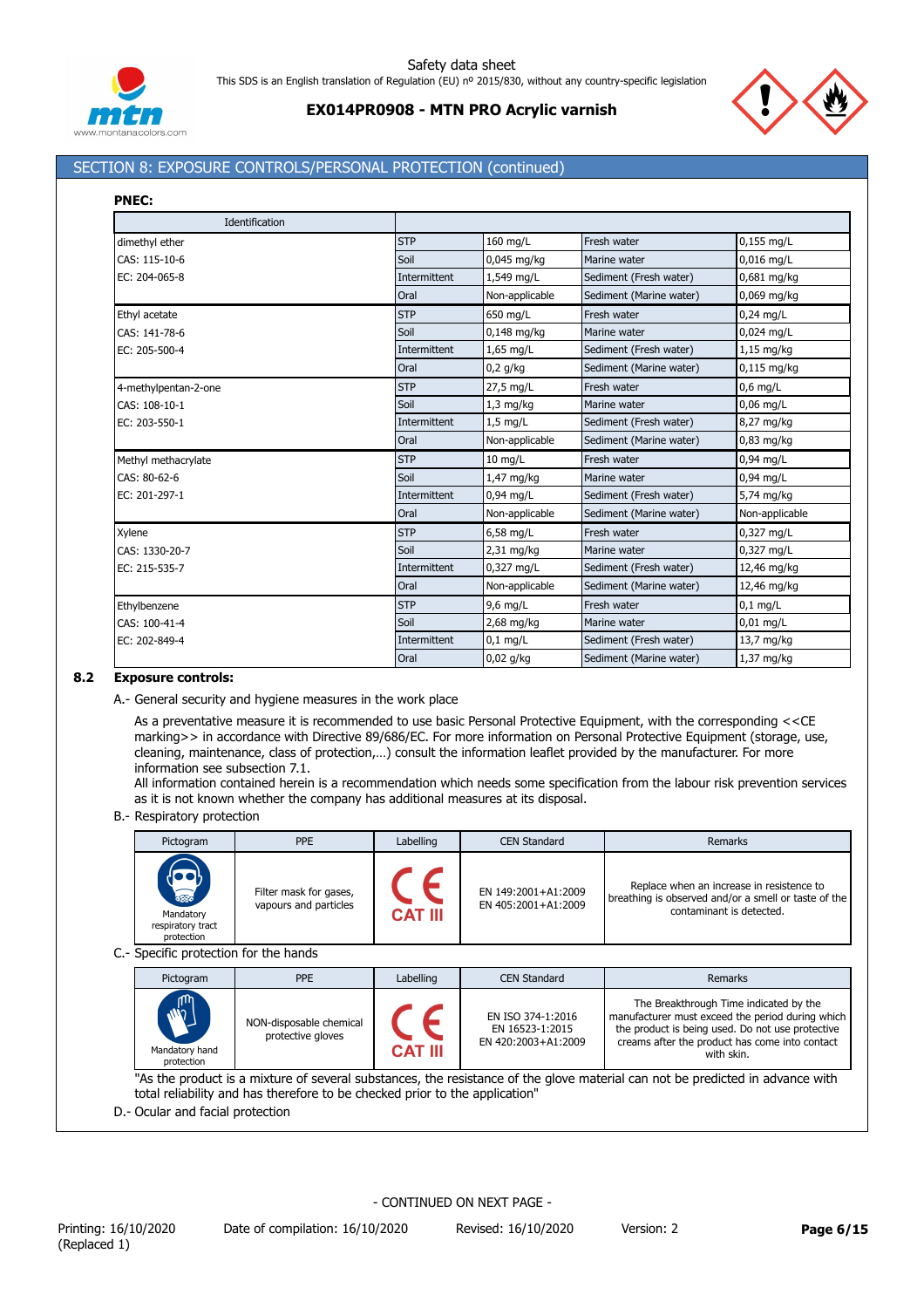



# **EX014PR0908 - MTN PRO Acrylic varnish**

# SECTION 8: EXPOSURE CONTROLS/PERSONAL PROTECTION (continued)

| w<br>v |
|--------|

| Identification       |              |                |                         |                |
|----------------------|--------------|----------------|-------------------------|----------------|
| dimethyl ether       | <b>STP</b>   | 160 mg/L       | Fresh water             | $0,155$ mg/L   |
| CAS: 115-10-6        | Soil         | 0,045 mg/kg    | Marine water            | 0,016 mg/L     |
| EC: 204-065-8        | Intermittent | 1,549 mg/L     | Sediment (Fresh water)  | 0,681 mg/kg    |
|                      | Oral         | Non-applicable | Sediment (Marine water) | 0,069 mg/kg    |
| Ethyl acetate        | <b>STP</b>   | 650 mg/L       | Fresh water             | $0,24$ mg/L    |
| CAS: 141-78-6        | Soil         | $0,148$ mg/kg  | Marine water            | 0,024 mg/L     |
| EC: 205-500-4        | Intermittent | $1,65$ mg/L    | Sediment (Fresh water)  | 1,15 mg/kg     |
|                      | Oral         | $0,2$ g/kg     | Sediment (Marine water) | $0,115$ mg/kg  |
| 4-methylpentan-2-one | <b>STP</b>   | 27,5 mg/L      | Fresh water             | $0,6$ mg/L     |
| CAS: 108-10-1        | Soil         | $1,3$ mg/kg    | Marine water            | $0,06$ mg/L    |
| EC: 203-550-1        | Intermittent | $1,5$ mg/L     | Sediment (Fresh water)  | 8,27 mg/kg     |
|                      | Oral         | Non-applicable | Sediment (Marine water) | $0,83$ mg/kg   |
| Methyl methacrylate  | <b>STP</b>   | $10$ mg/L      | Fresh water             | $0.94$ mg/L    |
| CAS: 80-62-6         | Soil         | 1,47 mg/kg     | Marine water            | $0.94$ mg/L    |
| EC: 201-297-1        | Intermittent | 0,94 mg/L      | Sediment (Fresh water)  | 5,74 mg/kg     |
|                      | Oral         | Non-applicable | Sediment (Marine water) | Non-applicable |
| Xylene               | <b>STP</b>   | 6,58 mg/L      | Fresh water             | 0,327 mg/L     |
| CAS: 1330-20-7       | Soil         | 2,31 mg/kg     | Marine water            | 0,327 mg/L     |
| EC: 215-535-7        | Intermittent | 0,327 mg/L     | Sediment (Fresh water)  | 12,46 mg/kg    |
|                      | Oral         | Non-applicable | Sediment (Marine water) | 12,46 mg/kg    |
| Ethylbenzene         | <b>STP</b>   | 9,6 mg/L       | Fresh water             | $0,1$ mg/L     |
| CAS: 100-41-4        | Soil         | 2,68 mg/kg     | Marine water            | $0,01$ mg/L    |
| EC: 202-849-4        | Intermittent | $0,1$ mg/L     | Sediment (Fresh water)  | 13,7 mg/kg     |
|                      | Oral         | $0,02$ g/kg    | Sediment (Marine water) | 1,37 mg/kg     |

## **8.2 Exposure controls:**

A.- General security and hygiene measures in the work place

As a preventative measure it is recommended to use basic Personal Protective Equipment, with the corresponding <<CE marking>> in accordance with Directive 89/686/EC. For more information on Personal Protective Equipment (storage, use, cleaning, maintenance, class of protection,…) consult the information leaflet provided by the manufacturer. For more information see subsection 7.1.

All information contained herein is a recommendation which needs some specification from the labour risk prevention services as it is not known whether the company has additional measures at its disposal.

B.- Respiratory protection

| Pictogram                                                   | <b>PPE</b>                                      | Labelling      | <b>CEN Standard</b>                        | <b>Remarks</b>                                                                                                                |  |
|-------------------------------------------------------------|-------------------------------------------------|----------------|--------------------------------------------|-------------------------------------------------------------------------------------------------------------------------------|--|
| <b>REED</b><br>Mandatory<br>respiratory tract<br>protection | Filter mask for gases,<br>vapours and particles | <b>CAT III</b> | EN 149:2001+A1:2009<br>EN 405:2001+A1:2009 | Replace when an increase in resistence to<br>breathing is observed and/or a smell or taste of the<br>contaminant is detected. |  |
| C.- Specific protection for the hands                       |                                                 |                |                                            |                                                                                                                               |  |
| Dictogram                                                   | <b>DDF</b>                                      | I ahalling     | CEN Standard                               | <b>Domarks</b>                                                                                                                |  |

| Pictogram                                  | PPE                                          | Labelling      | CEN Standard                                                | <b>Remarks</b>                                                                                                                                                                                                 |
|--------------------------------------------|----------------------------------------------|----------------|-------------------------------------------------------------|----------------------------------------------------------------------------------------------------------------------------------------------------------------------------------------------------------------|
| <b>AND</b><br>Mandatory hand<br>protection | NON-disposable chemical<br>protective gloves | <b>CAT III</b> | EN ISO 374-1:2016<br>EN 16523-1:2015<br>EN 420:2003+A1:2009 | The Breakthrough Time indicated by the<br>manufacturer must exceed the period during which<br>the product is being used. Do not use protective<br>creams after the product has come into contact<br>with skin. |

"As the product is a mixture of several substances, the resistance of the glove material can not be predicted in advance with total reliability and has therefore to be checked prior to the application"

D.- Ocular and facial protection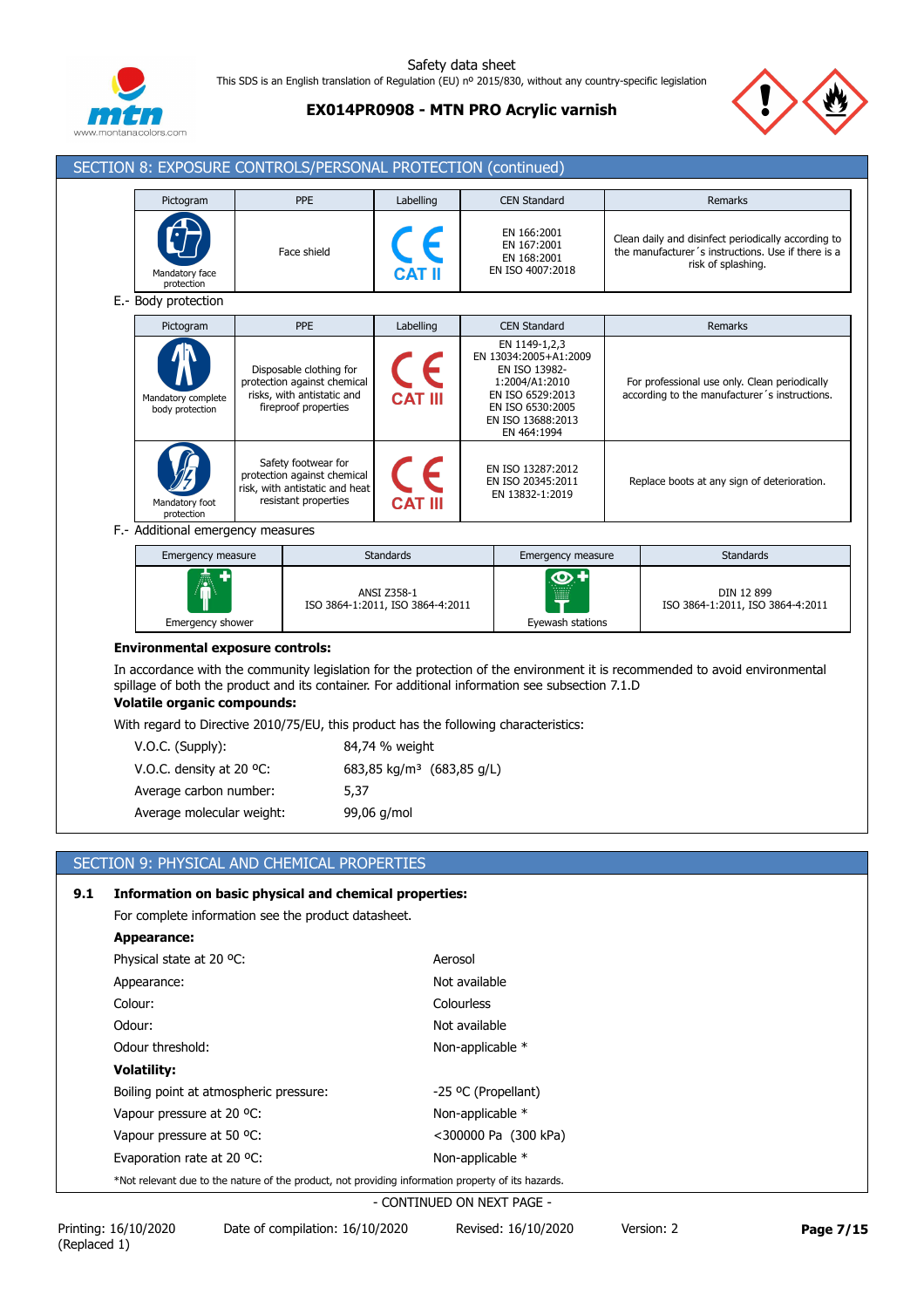

**EX014PR0908 - MTN PRO Acrylic varnish**



ISO 3864-1:2011, ISO 3864-4:2011

| Pictogram                             | PPE                                                                                                          | Labelling                       | <b>CEN Standard</b>                                                                                                                                   | Remarks                                                                                                                         |
|---------------------------------------|--------------------------------------------------------------------------------------------------------------|---------------------------------|-------------------------------------------------------------------------------------------------------------------------------------------------------|---------------------------------------------------------------------------------------------------------------------------------|
| Mandatory face<br>protection          | Face shield                                                                                                  | $C_{\epsilon}$<br><b>CAT II</b> | EN 166:2001<br>EN 167:2001<br>EN 168:2001<br>EN ISO 4007:2018                                                                                         | Clean daily and disinfect periodically according to<br>the manufacturer's instructions. Use if there is a<br>risk of splashing. |
| E.- Body protection                   |                                                                                                              |                                 |                                                                                                                                                       |                                                                                                                                 |
| Pictogram                             | <b>PPE</b>                                                                                                   | Labelling                       | <b>CEN Standard</b>                                                                                                                                   | <b>Remarks</b>                                                                                                                  |
| Mandatory complete<br>body protection | Disposable clothing for<br>protection against chemical<br>risks, with antistatic and<br>fireproof properties | $\epsilon$<br><b>CAT III</b>    | EN 1149-1,2,3<br>EN 13034:2005+A1:2009<br>EN ISO 13982-<br>1:2004/A1:2010<br>EN ISO 6529:2013<br>EN ISO 6530:2005<br>EN ISO 13688:2013<br>EN 464:1994 | For professional use only. Clean periodically<br>according to the manufacturer's instructions.                                  |
| Mandatory foot<br>protection          | Safety footwear for<br>protection against chemical<br>risk, with antistatic and heat<br>resistant properties | <b>CAT III</b>                  | EN ISO 13287:2012<br>EN ISO 20345:2011<br>EN 13832-1:2019                                                                                             | Replace boots at any sign of deterioration.                                                                                     |
| F.- Additional emergency measures     |                                                                                                              |                                 |                                                                                                                                                       |                                                                                                                                 |
| Emergency measure                     |                                                                                                              | <b>Standards</b>                | Emergency measure                                                                                                                                     | <b>Standards</b>                                                                                                                |

### **Environmental exposure controls:**

Emergency shower

In accordance with the community legislation for the protection of the environment it is recommended to avoid environmental spillage of both the product and its container. For additional information see subsection 7.1.D

Eyewash stations

Τ

**Volatile organic compounds:** With regard to Directive 2010/75/EU, this product has the following characteristics:

ISO 3864-1:2011, ISO 3864-4:2011

| $\frac{1}{2}$ . The same to be contracted to be provided to the contracted the set of $\frac{1}{2}$ . The set of $\frac{1}{2}$ |                                       |  |  |  |
|--------------------------------------------------------------------------------------------------------------------------------|---------------------------------------|--|--|--|
| $V.O.C.$ (Supply):                                                                                                             | 84,74 % weight                        |  |  |  |
| V.O.C. density at 20 $^{\circ}$ C:                                                                                             | 683,85 kg/m <sup>3</sup> (683,85 g/L) |  |  |  |
| Average carbon number:                                                                                                         | 5,37                                  |  |  |  |
| Average molecular weight:                                                                                                      | 99,06 g/mol                           |  |  |  |

# SECTION 9: PHYSICAL AND CHEMICAL PROPERTIES

| 9.1 | Information on basic physical and chemical properties:<br>For complete information see the product datasheet. |                            |  |  |  |
|-----|---------------------------------------------------------------------------------------------------------------|----------------------------|--|--|--|
|     | Appearance:                                                                                                   |                            |  |  |  |
|     | Physical state at 20 °C:                                                                                      | Aerosol                    |  |  |  |
|     | Appearance:                                                                                                   | Not available              |  |  |  |
|     | Colour:                                                                                                       | Colourless                 |  |  |  |
|     | Odour:                                                                                                        | Not available              |  |  |  |
|     | Odour threshold:                                                                                              | Non-applicable *           |  |  |  |
|     | <b>Volatility:</b>                                                                                            |                            |  |  |  |
|     | Boiling point at atmospheric pressure:                                                                        | -25 °C (Propellant)        |  |  |  |
|     | Vapour pressure at 20 °C:                                                                                     | Non-applicable *           |  |  |  |
|     | Vapour pressure at 50 °C.                                                                                     | <300000 Pa (300 kPa)       |  |  |  |
|     | Evaporation rate at 20 $^{\circ}$ C:                                                                          | Non-applicable *           |  |  |  |
|     | *Not relevant due to the nature of the product, not providing information property of its hazards.            |                            |  |  |  |
|     |                                                                                                               | - CONTINUED ON NEYT DAGE - |  |  |  |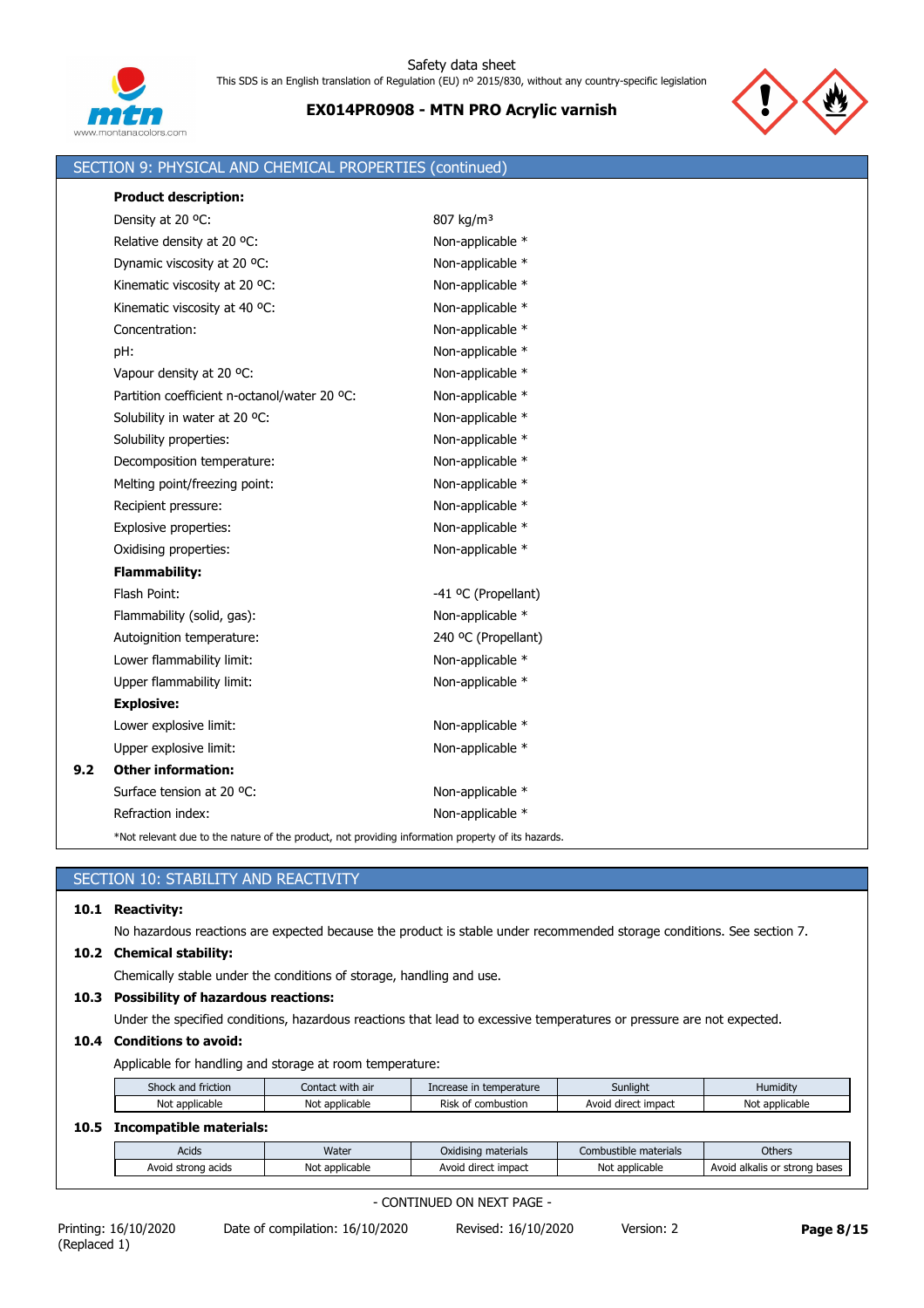



|     | SECTION 9: PHYSICAL AND CHEMICAL PROPERTIES (continued)                                            |                       |
|-----|----------------------------------------------------------------------------------------------------|-----------------------|
|     | <b>Product description:</b>                                                                        |                       |
|     | Density at 20 °C:                                                                                  | 807 kg/m <sup>3</sup> |
|     | Relative density at 20 °C:                                                                         | Non-applicable *      |
|     | Dynamic viscosity at 20 °C:                                                                        | Non-applicable *      |
|     | Kinematic viscosity at 20 °C:                                                                      | Non-applicable *      |
|     | Kinematic viscosity at 40 °C:                                                                      | Non-applicable *      |
|     | Concentration:                                                                                     | Non-applicable *      |
|     | pH:                                                                                                | Non-applicable *      |
|     | Vapour density at 20 °C:                                                                           | Non-applicable *      |
|     | Partition coefficient n-octanol/water 20 °C:                                                       | Non-applicable *      |
|     | Solubility in water at 20 °C:                                                                      | Non-applicable *      |
|     | Solubility properties:                                                                             | Non-applicable *      |
|     | Decomposition temperature:                                                                         | Non-applicable *      |
|     | Melting point/freezing point:                                                                      | Non-applicable *      |
|     | Recipient pressure:                                                                                | Non-applicable *      |
|     | Explosive properties:                                                                              | Non-applicable *      |
|     | Oxidising properties:                                                                              | Non-applicable *      |
|     | <b>Flammability:</b>                                                                               |                       |
|     | Flash Point:                                                                                       | -41 °C (Propellant)   |
|     | Flammability (solid, gas):                                                                         | Non-applicable *      |
|     | Autoignition temperature:                                                                          | 240 °C (Propellant)   |
|     | Lower flammability limit:                                                                          | Non-applicable *      |
|     | Upper flammability limit:                                                                          | Non-applicable *      |
|     | <b>Explosive:</b>                                                                                  |                       |
|     | Lower explosive limit:                                                                             | Non-applicable *      |
|     | Upper explosive limit:                                                                             | Non-applicable *      |
| 9.2 | <b>Other information:</b>                                                                          |                       |
|     | Surface tension at 20 °C:                                                                          | Non-applicable *      |
|     | Refraction index:                                                                                  | Non-applicable *      |
|     | *Not relevant due to the nature of the product, not providing information property of its hazards. |                       |

|      | SECTION 10: STABILITY AND REACTIVITY                                                                                   |                |                     |                       |                               |  |  |  |
|------|------------------------------------------------------------------------------------------------------------------------|----------------|---------------------|-----------------------|-------------------------------|--|--|--|
| 10.1 | <b>Reactivity:</b>                                                                                                     |                |                     |                       |                               |  |  |  |
|      | No hazardous reactions are expected because the product is stable under recommended storage conditions. See section 7. |                |                     |                       |                               |  |  |  |
| 10.2 | <b>Chemical stability:</b>                                                                                             |                |                     |                       |                               |  |  |  |
|      | Chemically stable under the conditions of storage, handling and use.                                                   |                |                     |                       |                               |  |  |  |
| 10.3 | <b>Possibility of hazardous reactions:</b>                                                                             |                |                     |                       |                               |  |  |  |
|      | Under the specified conditions, hazardous reactions that lead to excessive temperatures or pressure are not expected.  |                |                     |                       |                               |  |  |  |
| 10.4 | <b>Conditions to avoid:</b>                                                                                            |                |                     |                       |                               |  |  |  |
|      | Applicable for handling and storage at room temperature:                                                               |                |                     |                       |                               |  |  |  |
|      | Shock and friction<br>Contact with air<br>Sunlight<br>Humidity<br>Increase in temperature                              |                |                     |                       |                               |  |  |  |
|      | Not applicable<br>Risk of combustion<br>Avoid direct impact<br>Not applicable<br>Not applicable                        |                |                     |                       |                               |  |  |  |
| 10.5 | <b>Incompatible materials:</b>                                                                                         |                |                     |                       |                               |  |  |  |
|      | Acids                                                                                                                  | Water          | Oxidising materials | Combustible materials | Others                        |  |  |  |
|      | Avoid strong acids                                                                                                     | Not applicable | Avoid direct impact | Not applicable        | Avoid alkalis or strong bases |  |  |  |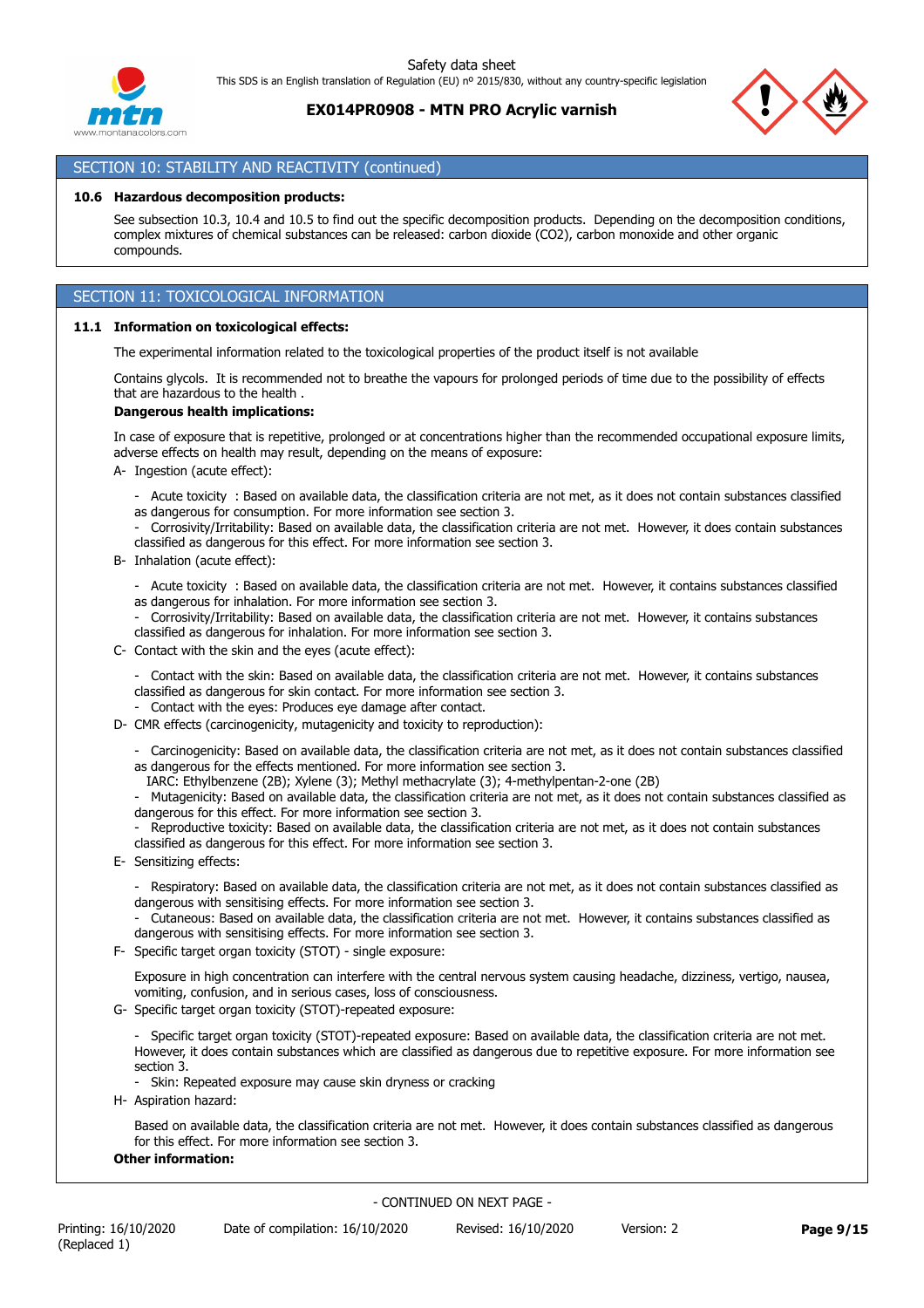## **EX014PR0908 - MTN PRO Acrylic varnish**



# SECTION 10: STABILITY AND REACTIVITY (continued)

#### **10.6 Hazardous decomposition products:**

See subsection 10.3, 10.4 and 10.5 to find out the specific decomposition products. Depending on the decomposition conditions, complex mixtures of chemical substances can be released: carbon dioxide (CO2), carbon monoxide and other organic compounds.

# SECTION 11: TOXICOLOGICAL INFORMATION

#### **11.1 Information on toxicological effects:**

The experimental information related to the toxicological properties of the product itself is not available

Contains glycols. It is recommended not to breathe the vapours for prolonged periods of time due to the possibility of effects that are hazardous to the health .

#### **Dangerous health implications:**

In case of exposure that is repetitive, prolonged or at concentrations higher than the recommended occupational exposure limits, adverse effects on health may result, depending on the means of exposure:

- A- Ingestion (acute effect):
	- Acute toxicity : Based on available data, the classification criteria are not met, as it does not contain substances classified as dangerous for consumption. For more information see section 3.
	- Corrosivity/Irritability: Based on available data, the classification criteria are not met. However, it does contain substances classified as dangerous for this effect. For more information see section 3.
- B- Inhalation (acute effect):
	- Acute toxicity : Based on available data, the classification criteria are not met. However, it contains substances classified
	- as dangerous for inhalation. For more information see section 3.
	- Corrosivity/Irritability: Based on available data, the classification criteria are not met. However, it contains substances classified as dangerous for inhalation. For more information see section 3.
- C- Contact with the skin and the eyes (acute effect):
	- Contact with the skin: Based on available data, the classification criteria are not met. However, it contains substances classified as dangerous for skin contact. For more information see section 3.

Contact with the eyes: Produces eye damage after contact.

- D- CMR effects (carcinogenicity, mutagenicity and toxicity to reproduction):
	- Carcinogenicity: Based on available data, the classification criteria are not met, as it does not contain substances classified as dangerous for the effects mentioned. For more information see section 3.
	- IARC: Ethylbenzene (2B); Xylene (3); Methyl methacrylate (3); 4-methylpentan-2-one (2B)
	- Mutagenicity: Based on available data, the classification criteria are not met, as it does not contain substances classified as dangerous for this effect. For more information see section 3.
	- Reproductive toxicity: Based on available data, the classification criteria are not met, as it does not contain substances classified as dangerous for this effect. For more information see section 3.
- E- Sensitizing effects:
	- Respiratory: Based on available data, the classification criteria are not met, as it does not contain substances classified as dangerous with sensitising effects. For more information see section 3.
	- Cutaneous: Based on available data, the classification criteria are not met. However, it contains substances classified as dangerous with sensitising effects. For more information see section 3.
- F- Specific target organ toxicity (STOT) single exposure:

Exposure in high concentration can interfere with the central nervous system causing headache, dizziness, vertigo, nausea, vomiting, confusion, and in serious cases, loss of consciousness.

G- Specific target organ toxicity (STOT)-repeated exposure:

- Specific target organ toxicity (STOT)-repeated exposure: Based on available data, the classification criteria are not met. However, it does contain substances which are classified as dangerous due to repetitive exposure. For more information see section 3.

- Skin: Repeated exposure may cause skin dryness or cracking
- H- Aspiration hazard:

Based on available data, the classification criteria are not met. However, it does contain substances classified as dangerous for this effect. For more information see section 3.

### **Other information:**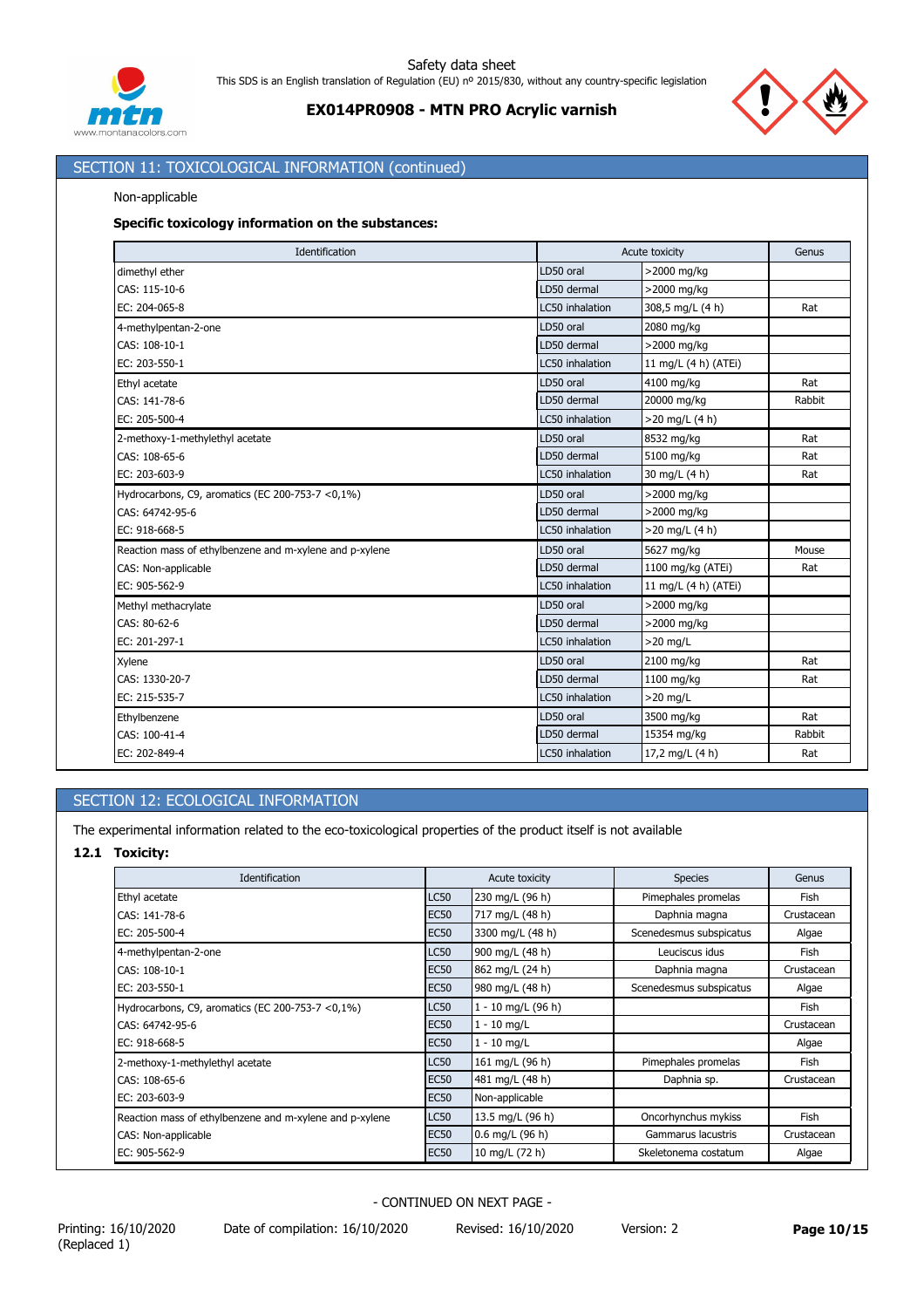



# SECTION 11: TOXICOLOGICAL INFORMATION (continued)

### Non-applicable

### **Specific toxicology information on the substances:**

| Identification                                          |                 | Acute toxicity       |        |
|---------------------------------------------------------|-----------------|----------------------|--------|
| dimethyl ether                                          | LD50 oral       | >2000 mg/kg          |        |
| CAS: 115-10-6                                           | LD50 dermal     | >2000 mg/kg          |        |
| EC: 204-065-8                                           | LC50 inhalation | 308,5 mg/L (4 h)     | Rat    |
| 4-methylpentan-2-one                                    | LD50 oral       | 2080 mg/kg           |        |
| CAS: 108-10-1                                           | LD50 dermal     | >2000 mg/kg          |        |
| EC: 203-550-1                                           | LC50 inhalation | 11 mg/L (4 h) (ATEi) |        |
| Ethyl acetate                                           | LD50 oral       | 4100 mg/kg           | Rat    |
| CAS: 141-78-6                                           | LD50 dermal     | 20000 mg/kg          | Rabbit |
| EC: 205-500-4                                           | LC50 inhalation | $>20$ mg/L (4 h)     |        |
| 2-methoxy-1-methylethyl acetate                         | LD50 oral       | 8532 mg/kg           | Rat    |
| CAS: 108-65-6                                           | LD50 dermal     | 5100 mg/kg           | Rat    |
| EC: 203-603-9                                           | LC50 inhalation | 30 mg/L (4 h)        | Rat    |
| Hydrocarbons, C9, aromatics (EC 200-753-7 < 0,1%)       | LD50 oral       | >2000 mg/kg          |        |
| CAS: 64742-95-6                                         | LD50 dermal     | >2000 mg/kg          |        |
| EC: 918-668-5                                           | LC50 inhalation | $>20$ mg/L (4 h)     |        |
| Reaction mass of ethylbenzene and m-xylene and p-xylene | LD50 oral       | 5627 mg/kg           | Mouse  |
| CAS: Non-applicable                                     | LD50 dermal     | 1100 mg/kg (ATEi)    | Rat    |
| EC: 905-562-9                                           | LC50 inhalation | 11 mg/L (4 h) (ATEi) |        |
| Methyl methacrylate                                     | LD50 oral       | >2000 mg/kg          |        |
| CAS: 80-62-6                                            | LD50 dermal     | >2000 mg/kg          |        |
| EC: 201-297-1                                           | LC50 inhalation | $>20$ mg/L           |        |
| Xylene                                                  | LD50 oral       | 2100 mg/kg           | Rat    |
| CAS: 1330-20-7                                          | LD50 dermal     | 1100 mg/kg           | Rat    |
| EC: 215-535-7                                           | LC50 inhalation | $>20$ mg/L           |        |
| Ethylbenzene                                            | LD50 oral       | 3500 mg/kg           | Rat    |
| CAS: 100-41-4                                           | LD50 dermal     | 15354 mg/kg          | Rabbit |
| EC: 202-849-4                                           | LC50 inhalation | 17,2 mg/L (4 h)      | Rat    |

## SECTION 12: ECOLOGICAL INFORMATION

The experimental information related to the eco-toxicological properties of the product itself is not available

## **12.1 Toxicity:**

| Identification                                          |             | Acute toxicity     | <b>Species</b>          | Genus      |
|---------------------------------------------------------|-------------|--------------------|-------------------------|------------|
| Ethyl acetate                                           | <b>LC50</b> | 230 mg/L (96 h)    | Pimephales promelas     | Fish       |
| CAS: 141-78-6                                           | <b>EC50</b> | 717 mg/L (48 h)    | Daphnia magna           | Crustacean |
| EC: 205-500-4                                           | <b>EC50</b> | 3300 mg/L (48 h)   | Scenedesmus subspicatus | Algae      |
| 4-methylpentan-2-one                                    | <b>LC50</b> | 900 mg/L (48 h)    | Leuciscus idus          | Fish       |
| CAS: 108-10-1                                           | <b>EC50</b> | 862 mg/L (24 h)    | Daphnia magna           | Crustacean |
| EC: 203-550-1                                           | <b>EC50</b> | 980 mg/L (48 h)    | Scenedesmus subspicatus | Algae      |
| Hydrocarbons, C9, aromatics (EC 200-753-7 $<$ 0,1%)     | <b>LC50</b> | 1 - 10 mg/L (96 h) |                         | Fish       |
| CAS: 64742-95-6                                         | <b>EC50</b> | $1 - 10$ mg/L      |                         | Crustacean |
| EC: 918-668-5                                           | <b>EC50</b> | $1 - 10$ mg/L      |                         | Algae      |
| 2-methoxy-1-methylethyl acetate                         | <b>LC50</b> | 161 mg/L (96 h)    | Pimephales promelas     | Fish       |
| CAS: 108-65-6                                           | <b>EC50</b> | 481 mg/L (48 h)    | Daphnia sp.             | Crustacean |
| EC: 203-603-9                                           | <b>EC50</b> | Non-applicable     |                         |            |
| Reaction mass of ethylbenzene and m-xylene and p-xylene | <b>LC50</b> | 13.5 mg/L (96 h)   | Oncorhynchus mykiss     | Fish       |
| CAS: Non-applicable                                     | <b>EC50</b> | $0.6$ mg/L (96 h)  | Gammarus lacustris      | Crustacean |
| EC: 905-562-9                                           | <b>EC50</b> | 10 mg/L (72 h)     | Skeletonema costatum    | Algae      |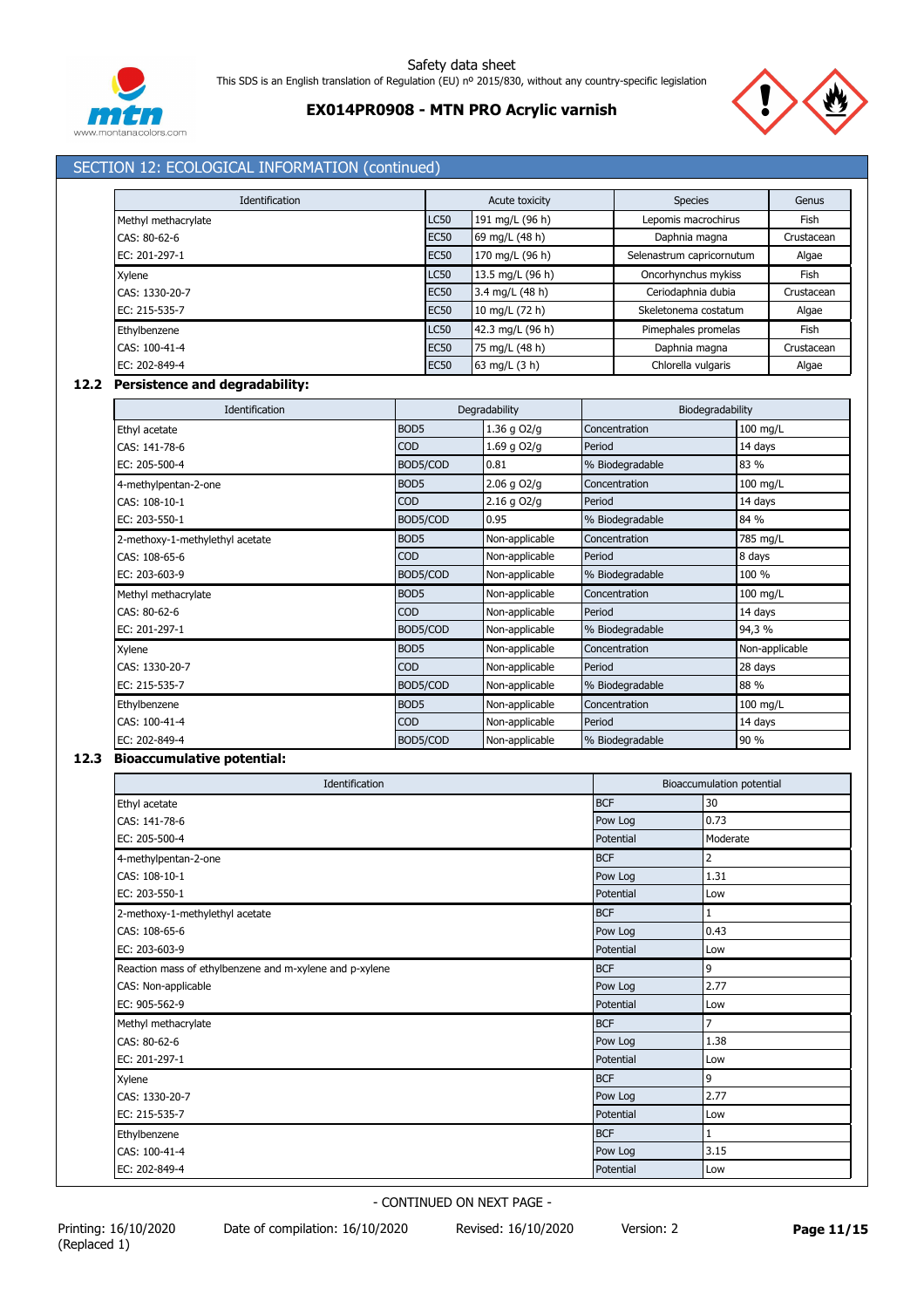



# SECTION 12: ECOLOGICAL INFORMATION (continued)

| Identification      |             | Acute toxicity   | <b>Species</b>            | Genus      |
|---------------------|-------------|------------------|---------------------------|------------|
| Methyl methacrylate | <b>LC50</b> | 191 mg/L (96 h)  | Lepomis macrochirus       | Fish       |
| CAS: 80-62-6        | <b>EC50</b> | 69 mg/L (48 h)   | Daphnia magna             | Crustacean |
| EC: 201-297-1       | <b>EC50</b> | 170 mg/L (96 h)  | Selenastrum capricornutum | Algae      |
| Xylene              | <b>LC50</b> | 13.5 mg/L (96 h) | Oncorhynchus mykiss       | Fish       |
| CAS: 1330-20-7      | <b>EC50</b> | 3.4 mg/L (48 h)  | Ceriodaphnia dubia        | Crustacean |
| EC: 215-535-7       | <b>EC50</b> | 10 mg/L (72 h)   | Skeletonema costatum      | Algae      |
| Ethylbenzene        | <b>LC50</b> | 42.3 mg/L (96 h) | Pimephales promelas       | Fish       |
| CAS: 100-41-4       | <b>EC50</b> | 75 mg/L (48 h)   | Daphnia magna             | Crustacean |
| EC: 202-849-4       | <b>EC50</b> | 63 mg/L (3 h)    | Chlorella vulgaris        | Algae      |

### **12.2 Persistence and degradability:**

| Identification                  |                  | Degradability   | Biodegradability |                |
|---------------------------------|------------------|-----------------|------------------|----------------|
| Ethyl acetate                   | BOD <sub>5</sub> | 1.36 g O2/g     | Concentration    | 100 mg/L       |
| CAS: 141-78-6                   | <b>COD</b>       | 1.69 g O2/g     | Period           | 14 days        |
| EC: 205-500-4                   | BOD5/COD         | 0.81            | % Biodegradable  | 83 %           |
| 4-methylpentan-2-one            | BOD <sub>5</sub> | $2.06$ g $O2/g$ | Concentration    | 100 mg/L       |
| CAS: 108-10-1                   | <b>COD</b>       | $2.16$ g $O2/q$ | Period           | 14 days        |
| EC: 203-550-1                   | BOD5/COD         | 0.95            | % Biodegradable  | 84 %           |
| 2-methoxy-1-methylethyl acetate | BOD <sub>5</sub> | Non-applicable  | Concentration    | 785 mg/L       |
| CAS: 108-65-6                   | <b>COD</b>       | Non-applicable  | Period           | 8 days         |
| EC: 203-603-9                   | BOD5/COD         | Non-applicable  | % Biodegradable  | 100 %          |
| Methyl methacrylate             | BOD <sub>5</sub> | Non-applicable  | Concentration    | 100 mg/L       |
| CAS: 80-62-6                    | <b>COD</b>       | Non-applicable  | Period           | 14 days        |
| EC: 201-297-1                   | BOD5/COD         | Non-applicable  | % Biodegradable  | 94,3 %         |
| Xylene                          | BOD <sub>5</sub> | Non-applicable  | Concentration    | Non-applicable |
| CAS: 1330-20-7                  | <b>COD</b>       | Non-applicable  | Period           | 28 days        |
| EC: 215-535-7                   | BOD5/COD         | Non-applicable  | % Biodegradable  | 88 %           |
| Ethylbenzene                    | BOD <sub>5</sub> | Non-applicable  | Concentration    | 100 mg/L       |
| CAS: 100-41-4                   | <b>COD</b>       | Non-applicable  | Period           | 14 days        |
| EC: 202-849-4                   | BOD5/COD         | Non-applicable  | % Biodegradable  | 90 %           |

### **12.3 Bioaccumulative potential:**

| Identification                                          |            | Bioaccumulation potential |  |  |
|---------------------------------------------------------|------------|---------------------------|--|--|
| Ethyl acetate                                           | <b>BCF</b> | 30                        |  |  |
| CAS: 141-78-6                                           | Pow Log    | 0.73                      |  |  |
| EC: 205-500-4                                           | Potential  | Moderate                  |  |  |
| 4-methylpentan-2-one                                    | <b>BCF</b> | $\overline{2}$            |  |  |
| CAS: 108-10-1                                           | Pow Log    | 1.31                      |  |  |
| EC: 203-550-1                                           | Potential  | Low                       |  |  |
| 2-methoxy-1-methylethyl acetate                         | <b>BCF</b> | $\mathbf{1}$              |  |  |
| CAS: 108-65-6                                           | Pow Log    | 0.43                      |  |  |
| EC: 203-603-9                                           | Potential  | Low                       |  |  |
| Reaction mass of ethylbenzene and m-xylene and p-xylene | <b>BCF</b> | 9                         |  |  |
| CAS: Non-applicable                                     | Pow Log    | 2.77                      |  |  |
| EC: 905-562-9                                           | Potential  | Low                       |  |  |
| Methyl methacrylate                                     | <b>BCF</b> | 7                         |  |  |
| CAS: 80-62-6                                            | Pow Log    | 1.38                      |  |  |
| EC: 201-297-1                                           | Potential  | Low                       |  |  |
| Xylene                                                  | <b>BCF</b> | 9                         |  |  |
| CAS: 1330-20-7                                          | Pow Log    | 2.77                      |  |  |
| EC: 215-535-7                                           | Potential  | Low                       |  |  |
| Ethylbenzene                                            | <b>BCF</b> | 1                         |  |  |
| CAS: 100-41-4                                           | Pow Log    | 3.15                      |  |  |
| EC: 202-849-4                                           | Potential  | Low                       |  |  |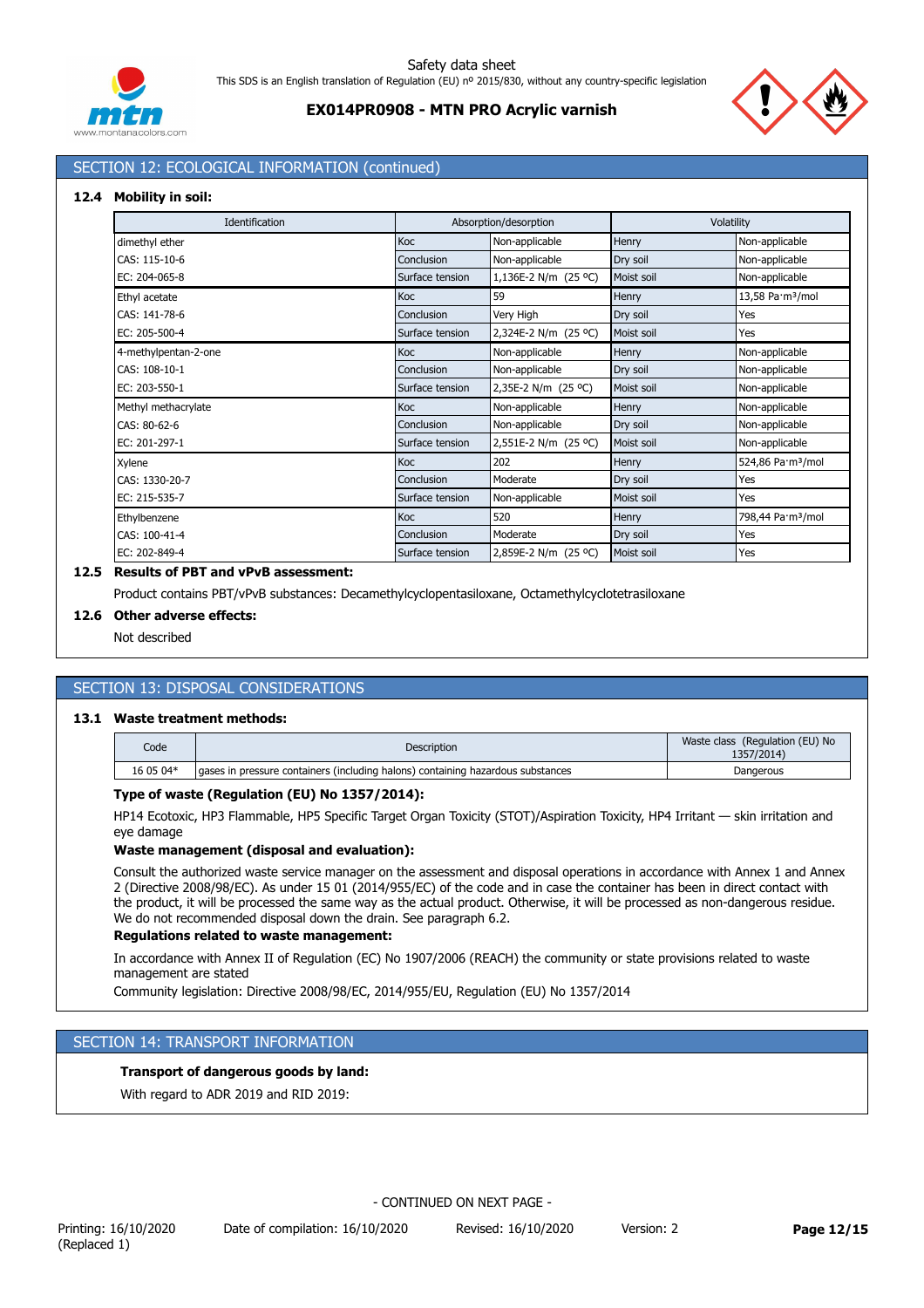



# **EX014PR0908 - MTN PRO Acrylic varnish**

# SECTION 12: ECOLOGICAL INFORMATION (continued)

#### **12.4 Mobility in soil:**

| Identification       |                 | Absorption/desorption |            | Volatility                    |
|----------------------|-----------------|-----------------------|------------|-------------------------------|
| dimethyl ether       | Koc             | Non-applicable        | Henry      | Non-applicable                |
| CAS: 115-10-6        | Conclusion      | Non-applicable        | Dry soil   | Non-applicable                |
| EC: 204-065-8        | Surface tension | 1,136E-2 N/m (25 °C)  | Moist soil | Non-applicable                |
| Ethyl acetate        | Koc             | 59                    | Henry      | 13,58 Pa·m <sup>3</sup> /mol  |
| CAS: 141-78-6        | Conclusion      | Very High             | Dry soil   | Yes                           |
| EC: 205-500-4        | Surface tension | 2,324E-2 N/m (25 °C)  | Moist soil | Yes                           |
| 4-methylpentan-2-one | Koc             | Non-applicable        | Henry      | Non-applicable                |
| CAS: 108-10-1        | Conclusion      | Non-applicable        | Dry soil   | Non-applicable                |
| EC: 203-550-1        | Surface tension | 2,35E-2 N/m (25 °C)   | Moist soil | Non-applicable                |
| Methyl methacrylate  | Koc             | Non-applicable        | Henry      | Non-applicable                |
| CAS: 80-62-6         | Conclusion      | Non-applicable        | Dry soil   | Non-applicable                |
| EC: 201-297-1        | Surface tension | 2,551E-2 N/m (25 °C)  | Moist soil | Non-applicable                |
| Xylene               | Koc             | 202                   | Henry      | 524,86 Pa·m <sup>3</sup> /mol |
| CAS: 1330-20-7       | Conclusion      | Moderate              | Dry soil   | Yes                           |
| EC: 215-535-7        | Surface tension | Non-applicable        | Moist soil | Yes                           |
| Ethylbenzene         | Koc             | 520                   | Henry      | 798,44 Pa·m <sup>3</sup> /mol |
| CAS: 100-41-4        | Conclusion      | Moderate              | Dry soil   | Yes                           |
| EC: 202-849-4        | Surface tension | 2,859E-2 N/m (25 °C)  | Moist soil | Yes                           |

# **12.5 Results of PBT and vPvB assessment:**

Product contains PBT/vPvB substances: Decamethylcyclopentasiloxane, Octamethylcyclotetrasiloxane

### **12.6 Other adverse effects:**

Not described

# SECTION 13: DISPOSAL CONSIDERATIONS

#### **13.1 Waste treatment methods:**

| Code      | <b>Description</b>                                                              | Waste class (Regulation (EU) No<br>1357/2014) |
|-----------|---------------------------------------------------------------------------------|-----------------------------------------------|
| 16 05 04* | aases in pressure containers (including halons) containing hazardous substances | Dangerous                                     |

## **Type of waste (Regulation (EU) No 1357/2014):**

HP14 Ecotoxic, HP3 Flammable, HP5 Specific Target Organ Toxicity (STOT)/Aspiration Toxicity, HP4 Irritant — skin irritation and eye damage

### **Waste management (disposal and evaluation):**

Consult the authorized waste service manager on the assessment and disposal operations in accordance with Annex 1 and Annex 2 (Directive 2008/98/EC). As under 15 01 (2014/955/EC) of the code and in case the container has been in direct contact with the product, it will be processed the same way as the actual product. Otherwise, it will be processed as non-dangerous residue. We do not recommended disposal down the drain. See paragraph 6.2.

### **Regulations related to waste management:**

In accordance with Annex II of Regulation (EC) No 1907/2006 (REACH) the community or state provisions related to waste management are stated

Community legislation: Directive 2008/98/EC, 2014/955/EU, Regulation (EU) No 1357/2014

### SECTION 14: TRANSPORT INFORMATION

### **Transport of dangerous goods by land:**

With regard to ADR 2019 and RID 2019: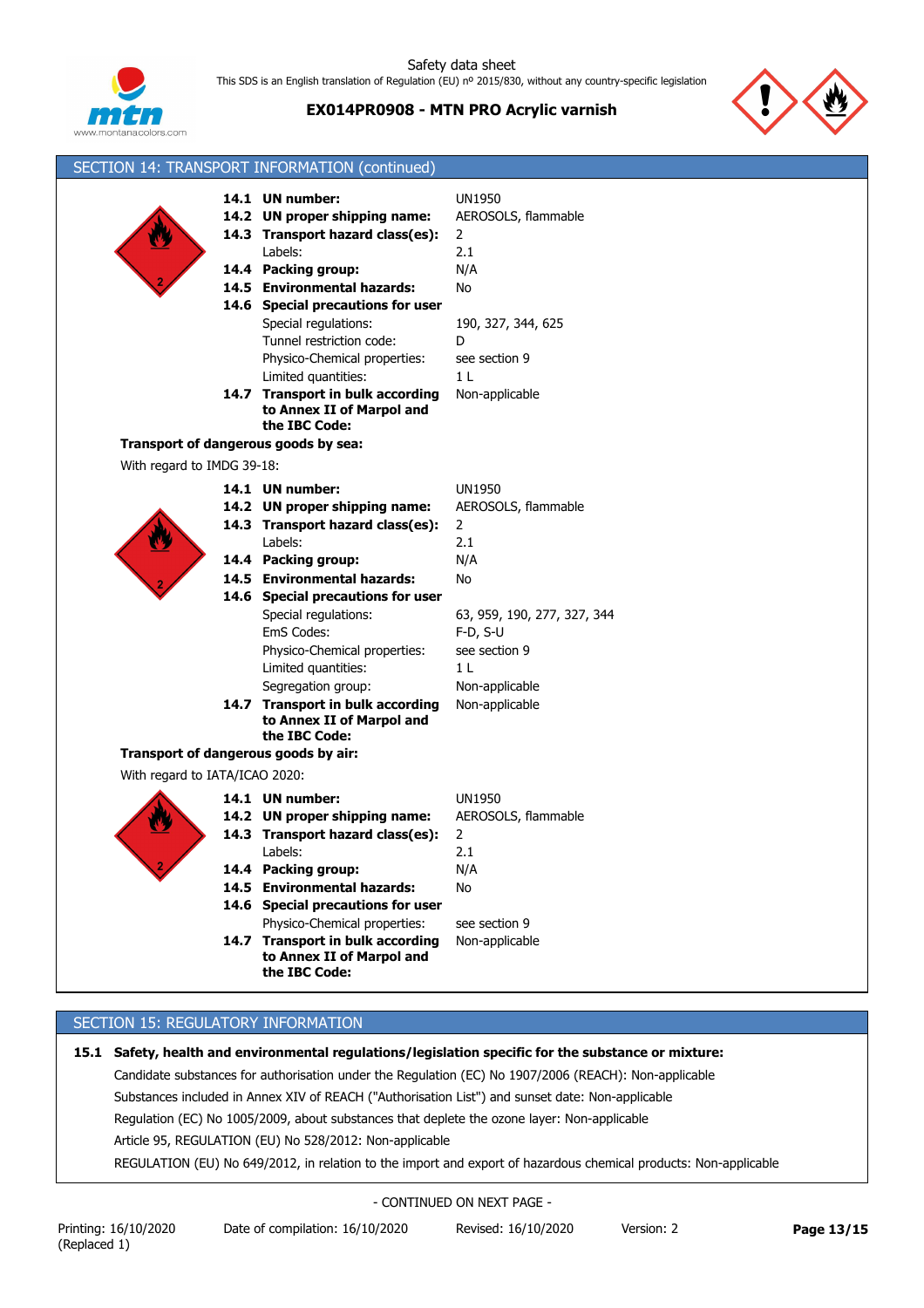

**EX014PR0908 - MTN PRO Acrylic varnish**



|                                      | SECTION 14: TRANSPORT INFORMATION (continued)                                                                                                                                                                                                                                                                                                                                                   |                                                                                                                                                                                   |
|--------------------------------------|-------------------------------------------------------------------------------------------------------------------------------------------------------------------------------------------------------------------------------------------------------------------------------------------------------------------------------------------------------------------------------------------------|-----------------------------------------------------------------------------------------------------------------------------------------------------------------------------------|
|                                      | 14.1 UN number:<br>14.2 UN proper shipping name:<br>14.3 Transport hazard class(es):<br>Labels:<br>14.4 Packing group:<br>14.5 Environmental hazards:<br>14.6 Special precautions for user<br>Special regulations:<br>Tunnel restriction code:<br>Physico-Chemical properties:<br>Limited quantities:<br>14.7 Transport in bulk according<br>to Annex II of Marpol and<br>the IBC Code:         | <b>UN1950</b><br>AEROSOLS, flammable<br>$\overline{2}$<br>2.1<br>N/A<br>No<br>190, 327, 344, 625<br>D<br>see section 9<br>1 <sub>L</sub><br>Non-applicable                        |
| Transport of dangerous goods by sea: |                                                                                                                                                                                                                                                                                                                                                                                                 |                                                                                                                                                                                   |
| With regard to IMDG 39-18:           |                                                                                                                                                                                                                                                                                                                                                                                                 |                                                                                                                                                                                   |
|                                      | 14.1 UN number:<br>14.2 UN proper shipping name:<br>14.3 Transport hazard class(es):<br>Labels:<br>14.4 Packing group:<br>14.5 Environmental hazards:<br>14.6 Special precautions for user<br>Special regulations:<br>EmS Codes:<br>Physico-Chemical properties:<br>Limited quantities:<br>Segregation group:<br>14.7 Transport in bulk according<br>to Annex II of Marpol and<br>the IBC Code: | <b>UN1950</b><br>AEROSOLS, flammable<br>2<br>2.1<br>N/A<br>No<br>63, 959, 190, 277, 327, 344<br>$F-D, S-U$<br>see section 9<br>1 <sub>L</sub><br>Non-applicable<br>Non-applicable |
| Transport of dangerous goods by air: |                                                                                                                                                                                                                                                                                                                                                                                                 |                                                                                                                                                                                   |
| With regard to IATA/ICAO 2020:       |                                                                                                                                                                                                                                                                                                                                                                                                 |                                                                                                                                                                                   |
|                                      | 14.1 UN number:<br>14.2 UN proper shipping name:<br>14.3 Transport hazard class(es):<br>Labels:<br>14.4 Packing group:<br>14.5 Environmental hazards:<br>14.6 Special precautions for user<br>Physico-Chemical properties:<br>14.7 Transport in bulk according<br>to Annex II of Marpol and                                                                                                     | <b>UN1950</b><br>AEROSOLS, flammable<br>2<br>2.1<br>N/A<br>No<br>see section 9<br>Non-applicable                                                                                  |

# SECTION 15: REGULATORY INFORMATION

**15.1 Safety, health and environmental regulations/legislation specific for the substance or mixture:**

Candidate substances for authorisation under the Regulation (EC) No 1907/2006 (REACH): Non-applicable

Substances included in Annex XIV of REACH ("Authorisation List") and sunset date: Non-applicable

Regulation (EC) No 1005/2009, about substances that deplete the ozone layer: Non-applicable

Article 95, REGULATION (EU) No 528/2012: Non-applicable

REGULATION (EU) No 649/2012, in relation to the import and export of hazardous chemical products: Non-applicable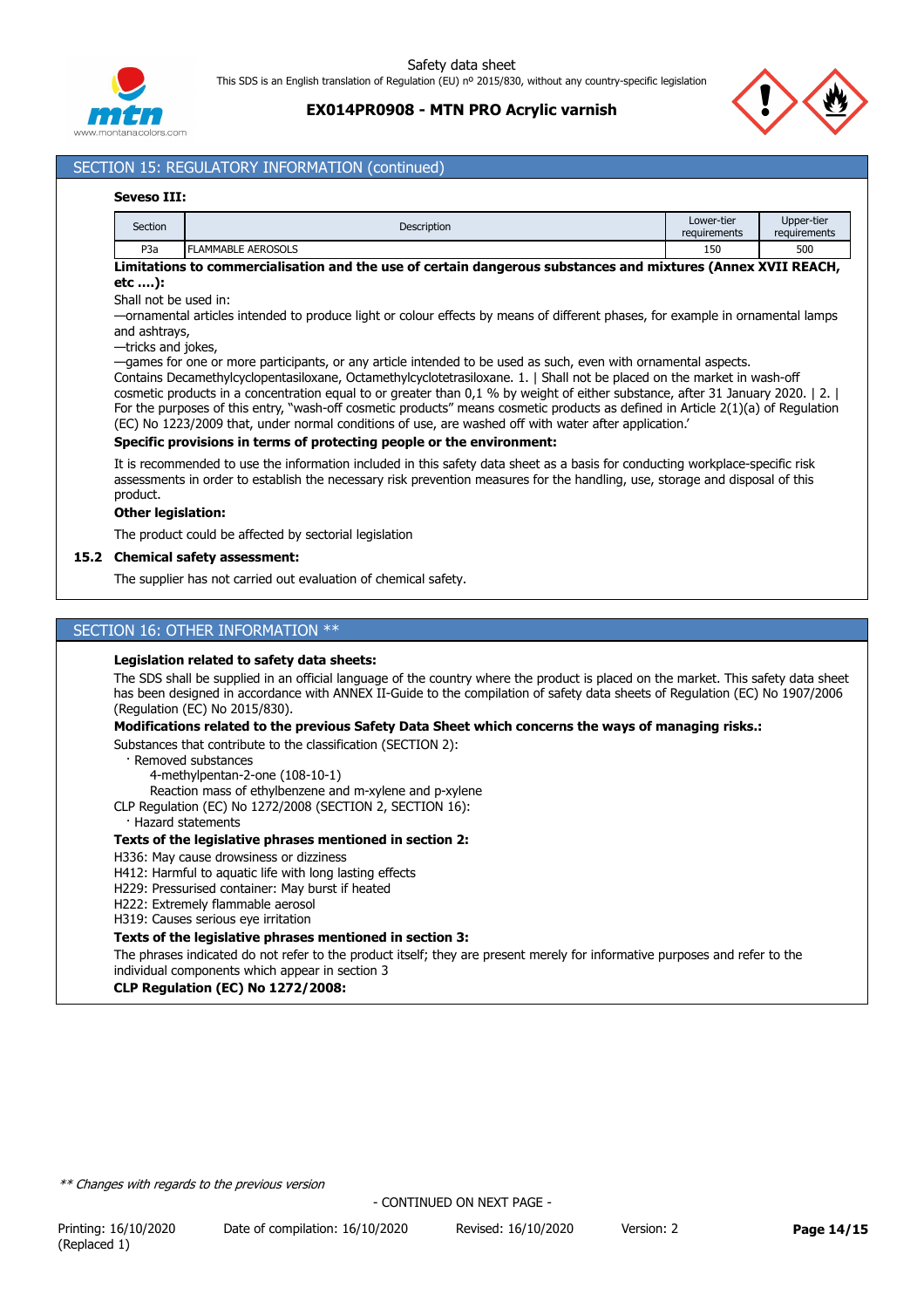

## **EX014PR0908 - MTN PRO Acrylic varnish**



# SECTION 15: REGULATORY INFORMATION (continued)

### **Seveso III:**

| Section          | <b>Description</b> | Lower-tier<br>requirements | Upper-tier<br>requirements |
|------------------|--------------------|----------------------------|----------------------------|
| P <sub>3</sub> a | ELAMMABLE AEROSOLS | 150                        | 500                        |

### **Limitations to commercialisation and the use of certain dangerous substances and mixtures (Annex XVII REACH, etc ….):**

Shall not be used in:

—ornamental articles intended to produce light or colour effects by means of different phases, for example in ornamental lamps and ashtrays,

—tricks and jokes,

—games for one or more participants, or any article intended to be used as such, even with ornamental aspects.

Contains Decamethylcyclopentasiloxane, Octamethylcyclotetrasiloxane. 1. | Shall not be placed on the market in wash-off cosmetic products in a concentration equal to or greater than 0,1 % by weight of either substance, after 31 January 2020. | 2. | For the purposes of this entry, "wash-off cosmetic products" means cosmetic products as defined in Article 2(1)(a) of Regulation (EC) No 1223/2009 that, under normal conditions of use, are washed off with water after application.'

#### **Specific provisions in terms of protecting people or the environment:**

It is recommended to use the information included in this safety data sheet as a basis for conducting workplace-specific risk assessments in order to establish the necessary risk prevention measures for the handling, use, storage and disposal of this product.

### **Other legislation:**

The product could be affected by sectorial legislation

#### **15.2 Chemical safety assessment:**

The supplier has not carried out evaluation of chemical safety.

### SECTION 16: OTHER INFORMATION \*\*

#### **Legislation related to safety data sheets:**

The SDS shall be supplied in an official language of the country where the product is placed on the market. This safety data sheet has been designed in accordance with ANNEX II-Guide to the compilation of safety data sheets of Regulation (EC) No 1907/2006 (Regulation (EC) No 2015/830).

#### **Modifications related to the previous Safety Data Sheet which concerns the ways of managing risks.:**

Substances that contribute to the classification (SECTION 2):

· Removed substances

4-methylpentan-2-one (108-10-1)

Reaction mass of ethylbenzene and m-xylene and p-xylene

CLP Regulation (EC) No 1272/2008 (SECTION 2, SECTION 16):

· Hazard statements

### **Texts of the legislative phrases mentioned in section 2:**

### H336: May cause drowsiness or dizziness

H412: Harmful to aquatic life with long lasting effects

H229: Pressurised container: May burst if heated

H222: Extremely flammable aerosol

H319: Causes serious eye irritation

#### **Texts of the legislative phrases mentioned in section 3:**

The phrases indicated do not refer to the product itself; they are present merely for informative purposes and refer to the individual components which appear in section 3

### **CLP Regulation (EC) No 1272/2008:**

*\*\* Changes with regards to the previous version*